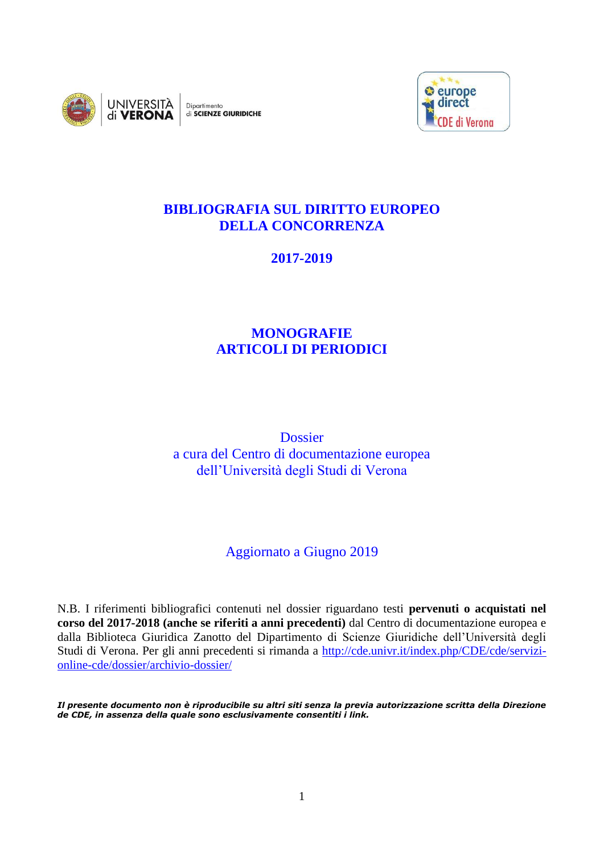



## **BIBLIOGRAFIA SUL DIRITTO EUROPEO DELLA CONCORRENZA**

**2017-2019**

# **MONOGRAFIE ARTICOLI DI PERIODICI**

**Dossier** a cura del Centro di documentazione europea dell'Università degli Studi di Verona

# Aggiornato a Giugno 2019

N.B. I riferimenti bibliografici contenuti nel dossier riguardano testi **pervenuti o acquistati nel corso del 2017-2018 (anche se riferiti a anni precedenti)** dal Centro di documentazione europea e dalla Biblioteca Giuridica Zanotto del Dipartimento di Scienze Giuridiche dell'Università degli Studi di Verona. Per gli anni precedenti si rimanda a [http://cde.univr.it/index.php/CDE/cde/servizi](http://cde.univr.it/index.php/CDE/cde/servizi-online-cde/dossier/archivio-dossier/)[online-cde/dossier/archivio-dossier/](http://cde.univr.it/index.php/CDE/cde/servizi-online-cde/dossier/archivio-dossier/)

*Il presente documento non è riproducibile su altri siti senza la previa autorizzazione scritta della Direzione de CDE, in assenza della quale sono esclusivamente consentiti i link.*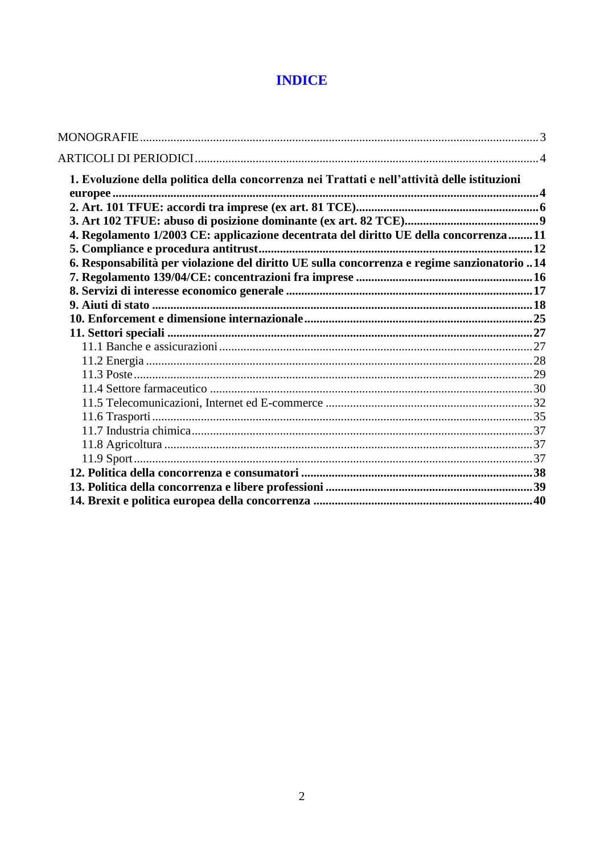# **INDICE**

| 1. Evoluzione della politica della concorrenza nei Trattati e nell'attività delle istituzioni |  |
|-----------------------------------------------------------------------------------------------|--|
|                                                                                               |  |
|                                                                                               |  |
|                                                                                               |  |
| 4. Regolamento 1/2003 CE: applicazione decentrata del diritto UE della concorrenza11          |  |
|                                                                                               |  |
| 6. Responsabilità per violazione del diritto UE sulla concorrenza e regime sanzionatorio 14   |  |
|                                                                                               |  |
|                                                                                               |  |
|                                                                                               |  |
|                                                                                               |  |
|                                                                                               |  |
|                                                                                               |  |
|                                                                                               |  |
|                                                                                               |  |
|                                                                                               |  |
|                                                                                               |  |
|                                                                                               |  |
|                                                                                               |  |
|                                                                                               |  |
|                                                                                               |  |
|                                                                                               |  |
|                                                                                               |  |
|                                                                                               |  |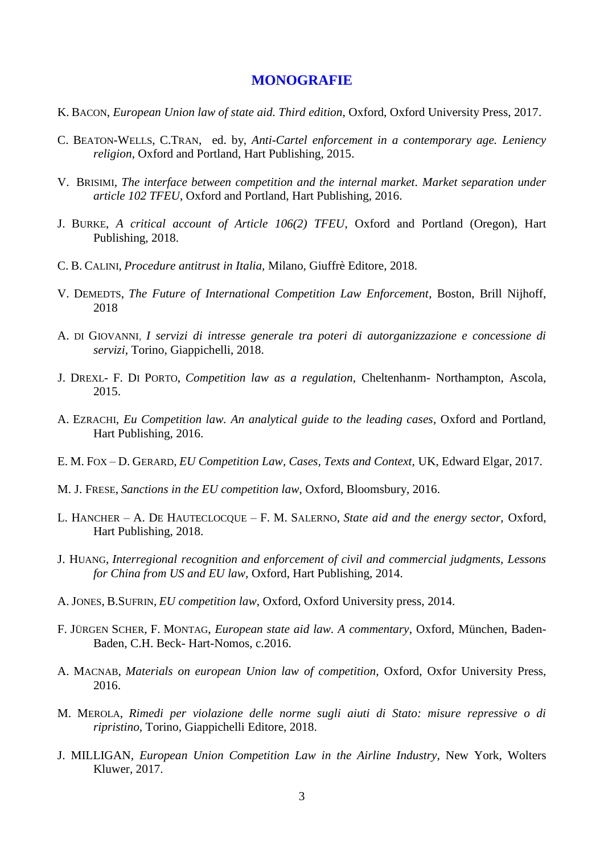#### **MONOGRAFIE**

- <span id="page-2-0"></span>K. BACON, *European Union law of state aid. Third edition*, Oxford, Oxford University Press, 2017.
- C. BEATON-WELLS, C.TRAN, ed. by, *Anti-Cartel enforcement in a contemporary age. Leniency religion*, Oxford and Portland, Hart Publishing, 2015.
- V. BRISIMI, *The interface between competition and the internal market. Market separation under article 102 TFEU*, Oxford and Portland, Hart Publishing, 2016.
- J. BURKE, *A critical account of Article 106(2) TFEU*, Oxford and Portland (Oregon), Hart Publishing, 2018.
- C. B. CALINI, *Procedure antitrust in Italia,* Milano*,* Giuffrè Editore, 2018.
- V. DEMEDTS, *The Future of International Competition Law Enforcement*, Boston, Brill Nijhoff, 2018
- A. DI GIOVANNI, *I servizi di intresse generale tra poteri di autorganizzazione e concessione di servizi,* Torino, Giappichelli, 2018.
- J. DREXL- F. DI PORTO, *Competition law as a regulation,* Cheltenhanm- Northampton, Ascola, 2015.
- A. EZRACHI, *Eu Competition law. An analytical guide to the leading cases*, Oxford and Portland, Hart Publishing, 2016.
- E. M. FOX D. GERARD, *EU Competition Law, Cases, Texts and Context,* UK, Edward Elgar, 2017.
- M. J. FRESE, *Sanctions in the EU competition law,* Oxford, Bloomsbury, 2016.
- L. HANCHER A. DE HAUTECLOCQUE F. M. SALERNO, *State aid and the energy sector,* Oxford, Hart Publishing, 2018.
- J. HUANG, *Interregional recognition and enforcement of civil and commercial judgments, Lessons for China from US and EU law,* Oxford, Hart Publishing, 2014.
- A. JONES, B.SUFRIN, *EU competition law,* Oxford, Oxford University press, 2014.
- F. JÜRGEN SCHER, F. MONTAG, *European state aid law. A commentary*, Oxford, München, Baden-Baden, C.H. Beck- Hart-Nomos, c.2016.
- A. MACNAB, *Materials on european Union law of competition,* Oxford, Oxfor University Press, 2016.
- M. MEROLA, *Rimedi per violazione delle norme sugli aiuti di Stato: misure repressive o di ripristino,* Torino*,* Giappichelli Editore, 2018.
- J. MILLIGAN, *European Union Competition Law in the Airline Industry,* New York, Wolters Kluwer, 2017.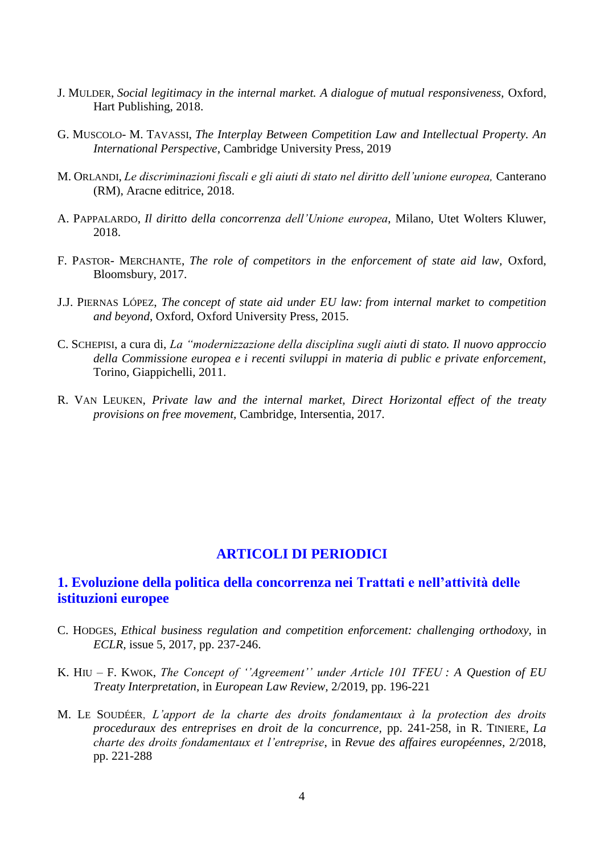- J. MULDER, *Social legitimacy in the internal market. A dialogue of mutual responsiveness,* Oxford, Hart Publishing, 2018.
- G. MUSCOLO- M. TAVASSI, *The Interplay Between Competition Law and Intellectual Property. An International Perspective*, Cambridge University Press, 2019
- M. ORLANDI, *Le discriminazioni fiscali e gli aiuti di stato nel diritto dell'unione europea,* Canterano (RM), Aracne editrice, 2018.
- A. PAPPALARDO, *Il diritto della concorrenza dell'Unione europea*, Milano, Utet Wolters Kluwer, 2018.
- F. PASTOR- MERCHANTE, *The role of competitors in the enforcement of state aid law,* Oxford, Bloomsbury, 2017.
- J.J. PIERNAS LÓPEZ, *The concept of state aid under EU law: from internal market to competition and beyond*, Oxford, Oxford University Press, 2015.
- C. SCHEPISI, a cura di, *La "modernizzazione della disciplina sugli aiuti di stato. Il nuovo approccio della Commissione europea e i recenti sviluppi in materia di public e private enforcement*, Torino, Giappichelli, 2011.
- R. VAN LEUKEN, *Private law and the internal market, Direct Horizontal effect of the treaty provisions on free movement,* Cambridge, Intersentia, 2017.

## **ARTICOLI DI PERIODICI**

## <span id="page-3-1"></span><span id="page-3-0"></span>**1. Evoluzione della politica della concorrenza nei Trattati e nell'attività delle istituzioni europee**

- C. HODGES, *Ethical business regulation and competition enforcement: challenging orthodoxy,* in *ECLR,* issue 5, 2017, pp. 237-246.
- K. HIU F. KWOK, *The Concept of ''Agreement'' under Article 101 TFEU : A Question of EU Treaty Interpretation*, in *European Law Review,* 2/2019, pp. 196-221
- M. LE SOUDÉER, *L'apport de la charte des droits fondamentaux à la protection des droits proceduraux des entreprises en droit de la concurrence,* pp. 241-258, in R. TINIERE, *La charte des droits fondamentaux et l'entreprise*, in *Revue des affaires européennes*, 2/2018, pp. 221-288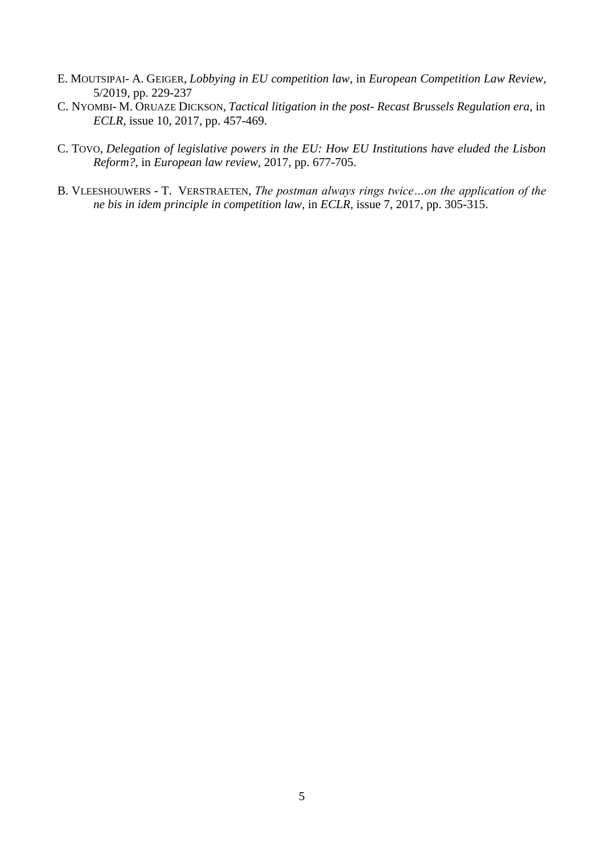- E. MOUTSIPAI- A. GEIGER, *Lobbying in EU competition law*, in *European Competition Law Review*, 5/2019, pp. 229-237
- C. NYOMBI- M. ORUAZE DICKSON, *Tactical litigation in the post- Recast Brussels Regulation era,* in *ECLR,* issue 10, 2017, pp. 457-469.
- C. TOVO, *Delegation of legislative powers in the EU: How EU Institutions have eluded the Lisbon Reform?,* in *European law review,* 2017, pp. 677-705.
- B. VLEESHOUWERS T. VERSTRAETEN, *The postman always rings twice…on the application of the ne bis in idem principle in competition law,* in *ECLR,* issue 7, 2017, pp. 305-315.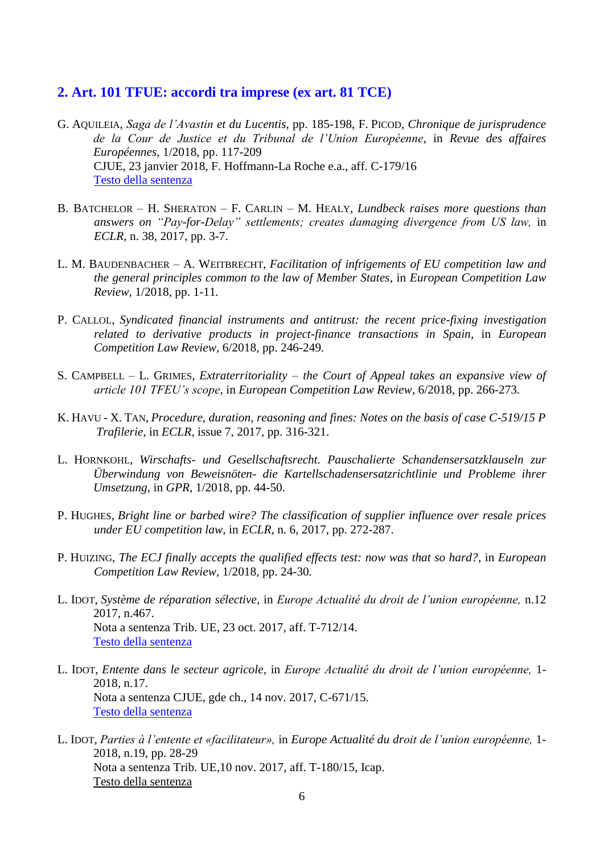#### <span id="page-5-0"></span>**2. Art. 101 TFUE: accordi tra imprese (ex art. 81 TCE)**

- G. AQUILEIA, *Saga de l'Avastin et du Lucentis*, pp. 185-198, F. PICOD, *Chronique de jurisprudence de la Cour de Justice et du Tribunal de l'Union Européenne*, in *Revue des affaires Européennes*, 1/2018, pp. 117-209 CJUE, 23 janvier 2018, F. Hoffmann-La Roche e.a., aff. C-179/16 [Testo della sentenza](https://eur-lex.europa.eu/legal-content/IT/TXT/PDF/?uri=CELEX:62016CJ0179&qid=1554461804818&from=IT)
- B. BATCHELOR H. SHERATON F. CARLIN M. HEALY, *Lundbeck raises more questions than answers on "Pay-for-Delay" settlements; creates damaging divergence from US law,* in *ECLR,* n. 38, 2017, pp. 3-7.
- L. M. BAUDENBACHER A. WEITBRECHT, *Facilitation of infrigements of EU competition law and the general principles common to the law of Member States,* in *European Competition Law Review,* 1/2018*,* pp. 1-11*.*
- P. CALLOL, *Syndicated financial instruments and antitrust: the recent price-fixing investigation related to derivative products in project-finance transactions in Spain,* in *European Competition Law Review,* 6/2018*,* pp. 246-249*.*
- S. CAMPBELL L. GRIMES, *Extraterritoriality – the Court of Appeal takes an expansive view of article 101 TFEU's scope,* in *European Competition Law Review,* 6/2018*,* pp. 266-273*.*
- K. HAVU X. TAN, *Procedure, duration, reasoning and fines: Notes on the basis of case C-519/15 P Trafilerie,* in *ECLR,* issue 7, 2017, pp. 316-321.
- L. HORNKOHL, *Wirschafts- und Gesellschaftsrecht. Pauschalierte Schandensersatzklauseln zur Überwindung von Beweisnöten- die Kartellschadensersatzrichtlinie und Probleme ihrer Umsetzung,* in *GPR,* 1/2018, pp. 44-50.
- P. HUGHES, *Bright line or barbed wire? The classification of supplier influence over resale prices under EU competition law,* in *ECLR,* n. 6, 2017, pp. 272-287.
- P. HUIZING, *The ECJ finally accepts the qualified effects test: now was that so hard?*, in *European Competition Law Review,* 1/2018*,* pp. 24-30*.*
- L. IDOT, *Système de réparation sélective,* in *Europe Actualité du droit de l'union européenne,* n.12 2017, n.467. Nota a sentenza Trib. UE, 23 oct. 2017, aff. T-712/14. [Testo della sentenza](http://eur-lex.europa.eu/legal-content/IT/TXT/PDF/?uri=CELEX:62014TJ0712&qid=1520423738341&from=EN)
- L. IDOT, *Entente dans le secteur agricole,* in *Europe Actualité du droit de l'union européenne,* 1- 2018, n.17. Nota a sentenza CJUE, gde ch., 14 nov. 2017, C-671/15. [Testo della sentenza](http://eur-lex.europa.eu/legal-content/IT/TXT/PDF/?uri=CELEX:62015CJ0671&rid=2)
- L. IDOT, *Parties à l'entente et «facilitateur»,* in *Europe Actualité du droit de l'union européenne,* 1- 2018, n.19, pp. 28-29 Nota a sentenza Trib. UE,10 nov. 2017, aff. T-180/15, Icap. [Testo della sentenza](http://eur-lex.europa.eu/legal-content/IT/TXT/PDF/?uri=CELEX:62015TJ0180&qid=1522996835853&from=IT)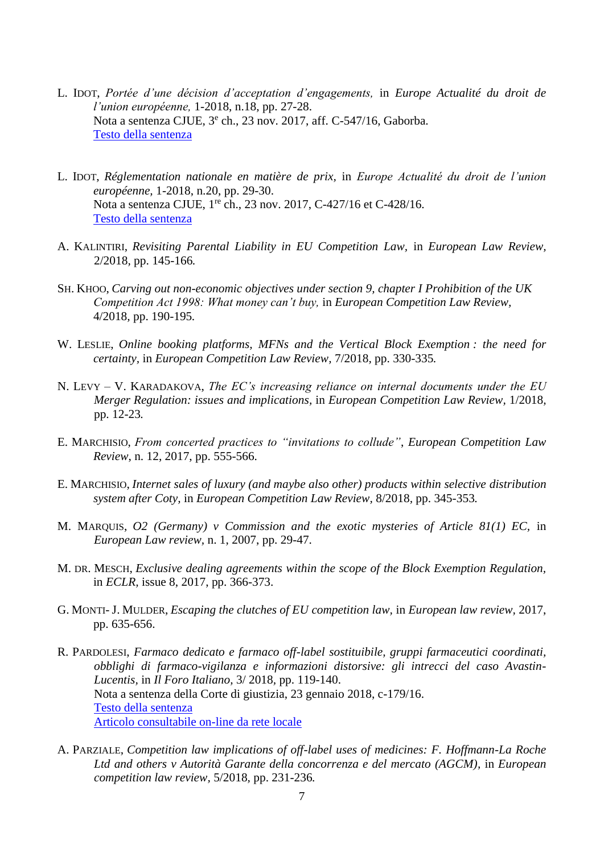- L. IDOT, *Portée d'une décision d'acceptation d'engagements,* in *Europe Actualité du droit de l'union européenne,* 1-2018, n.18, pp. 27-28. Nota a sentenza CJUE, 3<sup>e</sup> ch., 23 nov. 2017, aff. C-547/16, Gaborba. [Testo della sentenza](https://eur-lex.europa.eu/legal-content/IT/TXT/HTML/?uri=CELEX:62016CJ0547&qid=1544441507672&from=IT)
- L. IDOT, *Réglementation nationale en matière de prix,* in *Europe Actualité du droit de l'union européenne,* 1-2018, n.20, pp. 29-30. Nota a sentenza CJUE, 1<sup>re</sup> ch., 23 nov. 2017, C-427/16 et C-428/16. [Testo della sentenza](http://eur-lex.europa.eu/legal-content/IT/TXT/PDF/?uri=CELEX:62016CJ0427&rid=2)
- A. KALINTIRI, *Revisiting Parental Liability in EU Competition Law,* in *European Law Review,*  2/2018*,* pp. 145-166*.*
- SH. KHOO, *Carving out non-economic objectives under section 9, chapter I Prohibition of the UK Competition Act 1998: What money can't buy,* in *European Competition Law Review,*  4/2018*,* pp. 190-195*.*
- W. LESLIE, *Online booking platforms, MFNs and the Vertical Block Exemption : the need for certainty,* in *European Competition Law Review,* 7/2018*,* pp. 330-335*.*
- N. LEVY V. KARADAKOVA, *The EC's increasing reliance on internal documents under the EU Merger Regulation: issues and implications,* in *European Competition Law Review,* 1/2018*,*  pp. 12-23*.*
- E. MARCHISIO, *From concerted practices to "invitations to collude"*, *European Competition Law Review*, n. 12, 2017, pp. 555-566.
- E. MARCHISIO, *Internet sales of luxury (and maybe also other) products within selective distribution system after Coty,* in *European Competition Law Review,* 8/2018*,* pp. 345-353*.*
- M. MARQUIS, *O2 (Germany) v Commission and the exotic mysteries of Article 81(1) EC,* in *European Law review,* n. 1, 2007, pp. 29-47.
- M. DR. MESCH, *Exclusive dealing agreements within the scope of the Block Exemption Regulation,* in *ECLR,* issue 8, 2017, pp. 366-373.
- G. MONTI- J. MULDER, *Escaping the clutches of EU competition law,* in *European law review,* 2017, pp. 635-656.
- R. PARDOLESI, *Farmaco dedicato e farmaco off-label sostituibile, gruppi farmaceutici coordinati, obblighi di farmaco-vigilanza e informazioni distorsive: gli intrecci del caso Avastin-Lucentis,* in *Il Foro Italiano,* 3/ 2018*,* pp. 119-140. Nota a sentenza della Corte di giustizia, 23 gennaio 2018, c-179/16. [Testo della](http://eur-lex.europa.eu/legal-content/IT/TXT/PDF/?uri=CELEX:62016CJ0179&rid=2) sentenza [Articolo consultabile on-line da rete locale](http://sfx-39uvr.hosted.exlibrisgroup.com/sfx_univr?url_ver=Z39.88-2004&url_ctx_fmt=info:ofi/fmt:kev:mtx:ctx&ctx_enc=info:ofi/enc:UTF-8&ctx_ver=Z39.88-2004&rfr_id=info:sid/sfxit.com:azlist&sfx.ignore_date_threshold=1&rft.object_id=110978976776317&rft.object_portfolio_id=)
- A. PARZIALE, *Competition law implications of off-label uses of medicines: F. Hoffmann-La Roche Ltd and others v Autorità Garante della concorrenza e del mercato (AGCM),* in *European competition law review,* 5/2018*,* pp. 231-236*.*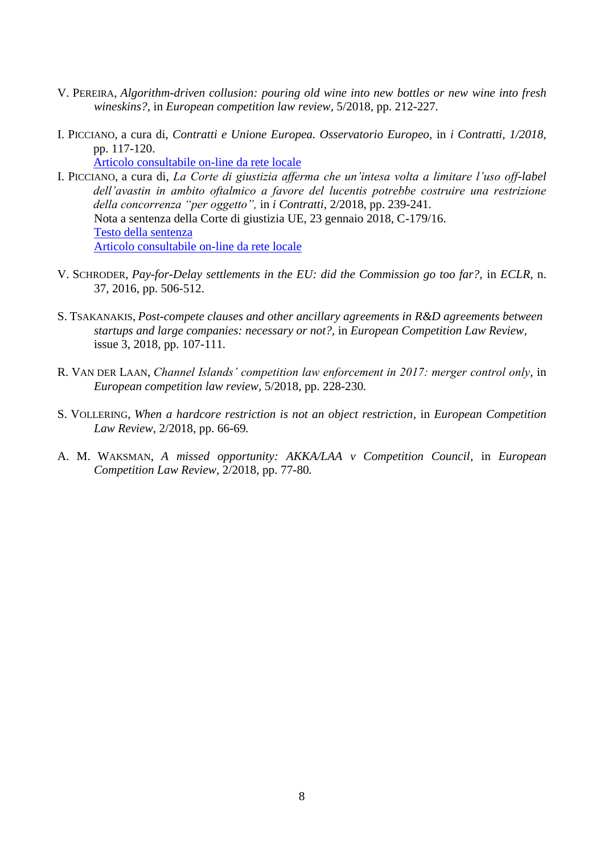- V. PEREIRA, *Algorithm-driven collusion: pouring old wine into new bottles or new wine into fresh wineskins?,* in *European competition law review,* 5/2018*,* pp. 212-227*.*
- I. PICCIANO, a cura di, *Contratti e Unione Europea. Osservatorio Europeo,* in *i Contratti, 1/2018,* pp. 117-120.

[Articolo consultabile on-line da rete locale](http://sfx-39uvr.hosted.exlibrisgroup.com/sfx_univr?url_ver=Z39.88-2004&url_ctx_fmt=info:ofi/fmt:kev:mtx:ctx&ctx_enc=info:ofi/enc:UTF-8&ctx_ver=Z39.88-2004&rfr_id=info:sid/sfxit.com:azlist&sfx.ignore_date_threshold=1&rft.object_id=1000000000018701&rft.object_portfolio_id=)

- I. PICCIANO, a cura di, *La Corte di giustizia afferma che un'intesa volta a limitare l'uso off-label dell'avastin in ambito oftalmico a favore del lucentis potrebbe costruire una restrizione della concorrenza "per oggetto",* in *i Contratti,* 2/2018, pp. 239-241. Nota a sentenza della Corte di giustizia UE, 23 gennaio 2018, C-179/16. [Testo della sentenza](http://eur-lex.europa.eu/legal-content/IT/TXT/PDF/?uri=CELEX:62016CJ0179&rid=2) [Articolo consultabile on-line da rete locale](http://sfx-39uvr.hosted.exlibrisgroup.com/sfx_univr?url_ver=Z39.88-2004&url_ctx_fmt=info:ofi/fmt:kev:mtx:ctx&ctx_enc=info:ofi/enc:UTF-8&ctx_ver=Z39.88-2004&rfr_id=info:sid/sfxit.com:azlist&sfx.ignore_date_threshold=1&rft.object_id=1000000000018701&rft.object_portfolio_id=)
- V. SCHRODER, *Pay-for-Delay settlements in the EU: did the Commission go too far?,* in *ECLR,* n. 37, 2016, pp. 506-512.
- S. TSAKANAKIS, *Post-compete clauses and other ancillary agreements in R&D agreements between startups and large companies: necessary or not?,* in *European Competition Law Review,*  issue 3, 2018*,* pp. 107-111*.*
- R. VAN DER LAAN, *Channel Islands' competition law enforcement in 2017: merger control only,* in *European competition law review,* 5/2018*,* pp. 228-230*.*
- S. VOLLERING, *When a hardcore restriction is not an object restriction,* in *European Competition Law Review,* 2/2018*,* pp. 66-69*.*
- A. M. WAKSMAN, *A missed opportunity: AKKA/LAA v Competition Council,* in *European Competition Law Review,* 2/2018*,* pp. 77-80*.*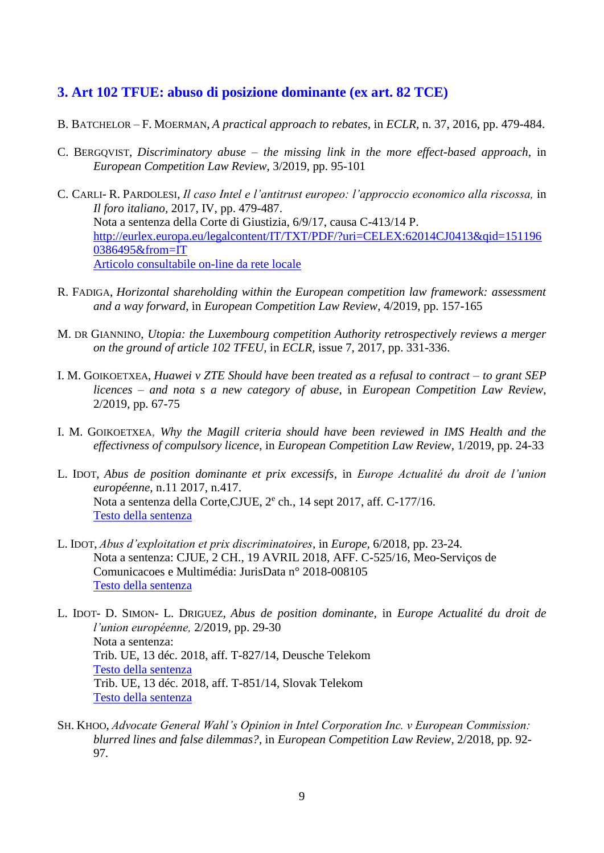## <span id="page-8-0"></span>**3. Art 102 TFUE: abuso di posizione dominante (ex art. 82 TCE)**

- B. BATCHELOR F. MOERMAN, *A practical approach to rebates,* in *ECLR,* n. 37, 2016, pp. 479-484.
- C. BERGQVIST, *Discriminatory abuse – the missing link in the more effect-based approach*, in *European Competition Law Review*, 3/2019, pp. 95-101
- C. CARLI- R. PARDOLESI, *Il caso Intel e l'antitrust europeo: l'approccio economico alla riscossa,* in *Il foro italiano,* 2017, IV, pp. 479-487. Nota a sentenza della Corte di Giustizia, 6/9/17, causa C-413/14 P. [http://eurlex.europa.eu/legalcontent/IT/TXT/PDF/?uri=CELEX:62014CJ0413&qid=151196](http://eurlex.europa.eu/legalcontent/IT/TXT/PDF/?uri=CELEX:62014CJ0413&qid=1511960386495&from=IT) [0386495&from=IT](http://eurlex.europa.eu/legalcontent/IT/TXT/PDF/?uri=CELEX:62014CJ0413&qid=1511960386495&from=IT) [Articolo consultabile on-line da rete locale](http://sfx-39uvr.hosted.exlibrisgroup.com/sfx_univr?url_ver=Z39.88-2004&url_ctx_fmt=info:ofi/fmt:kev:mtx:ctx&ctx_enc=info:ofi/enc:UTF-8&ctx_ver=Z39.88-2004&rfr_id=info:sid/sfxit.com:azlist&sfx.ignore_date_threshold=1&rft.object_id=110978976776317&rft.object_portfolio_id=)
- R. FADIGA, *Horizontal shareholding within the European competition law framework: assessment and a way forward*, in *European Competition Law Review*, 4/2019, pp. 157-165
- M. DR GIANNINO, *Utopia: the Luxembourg competition Authority retrospectively reviews a merger on the ground of article 102 TFEU,* in *ECLR,* issue 7, 2017, pp. 331-336.
- I. M. GOIKOETXEA, *Huawei v ZTE Should have been treated as a refusal to contract – to grant SEP licences – and nota s a new category of abuse*, in *European Competition Law Review*, 2/2019, pp. 67-75
- I. M. GOIKOETXEA, *Why the Magill criteria should have been reviewed in IMS Health and the effectivness of compulsory licence*, in *European Competition Law Review*, 1/2019, pp. 24-33
- L. IDOT, *Abus de position dominante et prix excessifs,* in *Europe Actualité du droit de l'union européenne,* n.11 2017, n.417. Nota a sentenza della Corte, CJUE, 2<sup>e</sup> ch., 14 sept 2017, aff. C-177/16. [Testo della sentenza](http://eur-lex.europa.eu/legal-content/IT/TXT/PDF/?uri=CELEX:62016CJ0177&qid=1519726568625&from=IT)
- L. IDOT, *Abus d'exploitation et prix discriminatoires,* in *Europe,* 6/2018*,* pp. 23-24*.* Nota a sentenza: CJUE, 2 CH., 19 AVRIL 2018, AFF. C-525/16, Meo-Serviços de Comunicacoes e Multimédia: JurisData n° 2018-008105 [Testo della sentenza](https://eur-lex.europa.eu/legal-content/IT/TXT/PDF/?uri=CELEX:62016CJ0525&rid=2)
- L. IDOT- D. SIMON- L. DRIGUEZ, *Abus de position dominante,* in *Europe Actualité du droit de l'union européenne,* 2/2019, pp. 29-30 Nota a sentenza: Trib. UE, 13 déc. 2018, aff. T-827/14, Deusche Telekom [Testo della sentenza](https://eur-lex.europa.eu/legal-content/AUTO/?uri=CELEX:62014TA0827&qid=1562140184078&rid=2) Trib. UE, 13 déc. 2018, aff. T-851/14, Slovak Telekom [Testo della sentenza](https://eur-lex.europa.eu/legal-content/AUTO/?uri=CELEX:62014TJ0851&qid=1562140246896&rid=2)
- SH. KHOO, *Advocate General Wahl's Opinion in Intel Corporation Inc. v European Commission: blurred lines and false dilemmas?,* in *European Competition Law Review,* 2/2018*,* pp. 92- 97*.*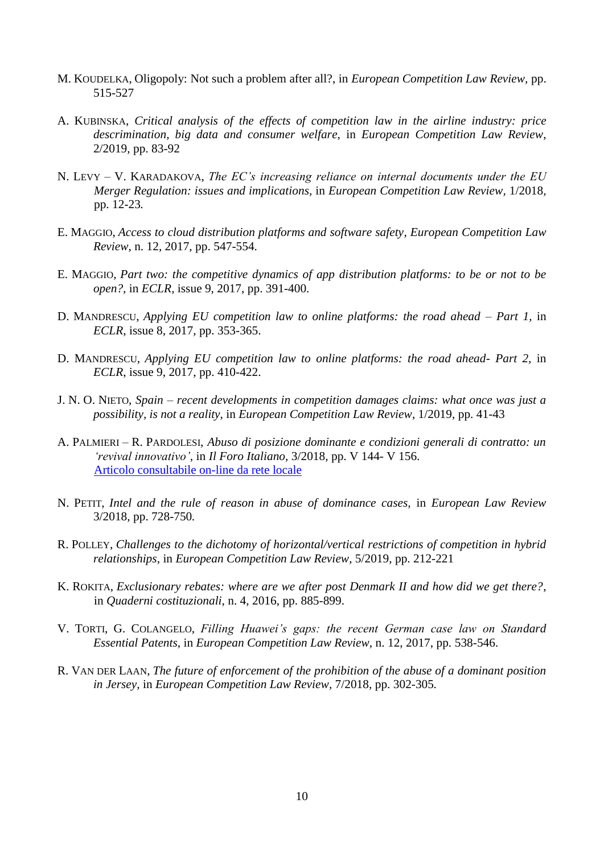- M. KOUDELKA, Oligopoly: Not such a problem after all?, in *European Competition Law Review,* pp. 515-527
- A. KUBINSKA, *Critical analysis of the effects of competition law in the airline industry: price descrimination, big data and consumer welfare,* in *European Competition Law Review*, 2/2019, pp. 83-92
- N. LEVY V. KARADAKOVA, *The EC's increasing reliance on internal documents under the EU Merger Regulation: issues and implications,* in *European Competition Law Review,* 1/2018*,*  pp. 12-23*.*
- E. MAGGIO, *Access to cloud distribution platforms and software safety*, *European Competition Law Review*, n. 12, 2017, pp. 547-554.
- E. MAGGIO, *Part two: the competitive dynamics of app distribution platforms: to be or not to be open?,* in *ECLR,* issue 9, 2017, pp. 391-400.
- D. MANDRESCU, *Applying EU competition law to online platforms: the road ahead – Part 1,* in *ECLR*, issue 8, 2017, pp. 353-365.
- D. MANDRESCU, *Applying EU competition law to online platforms: the road ahead- Part 2,* in *ECLR*, issue 9, 2017, pp. 410-422.
- J. N. O. NIETO, *Spain – recent developments in competition damages claims: what once was just a possibility, is not a reality,* in *European Competition Law Review*, 1/2019, pp. 41-43
- A. PALMIERI R. PARDOLESI, *Abuso di posizione dominante e condizioni generali di contratto: un 'revival innovativo',* in *Il Foro Italiano,* 3/2018*,* pp. V 144- V 156. [Articolo consultabile on-line da rete locale](http://sfx-39uvr.hosted.exlibrisgroup.com/sfx_univr?url_ver=Z39.88-2004&url_ctx_fmt=info:ofi/fmt:kev:mtx:ctx&ctx_enc=info:ofi/enc:UTF-8&ctx_ver=Z39.88-2004&rfr_id=info:sid/sfxit.com:azlist&sfx.ignore_date_threshold=1&rft.object_id=110978976776317&rft.object_portfolio_id=)
- N. PETIT, *Intel and the rule of reason in abuse of dominance cases,* in *European Law Review*  3/2018*,* pp. 728-750*.*
- R. POLLEY, *Challenges to the dichotomy of horizontal/vertical restrictions of competition in hybrid relationships*, in *European Competition Law Review*, 5/2019, pp. 212-221
- K. ROKITA, *Exclusionary rebates: where are we after post Denmark II and how did we get there?*, in *Quaderni costituzionali*, n. 4, 2016, pp. 885-899.
- V. TORTI, G. COLANGELO, *Filling Huawei's gaps: the recent German case law on Standard Essential Patents*, in *European Competition Law Review*, n. 12, 2017, pp. 538-546.
- R. VAN DER LAAN, *The future of enforcement of the prohibition of the abuse of a dominant position in Jersey,* in *European Competition Law Review,* 7/2018*,* pp. 302-305*.*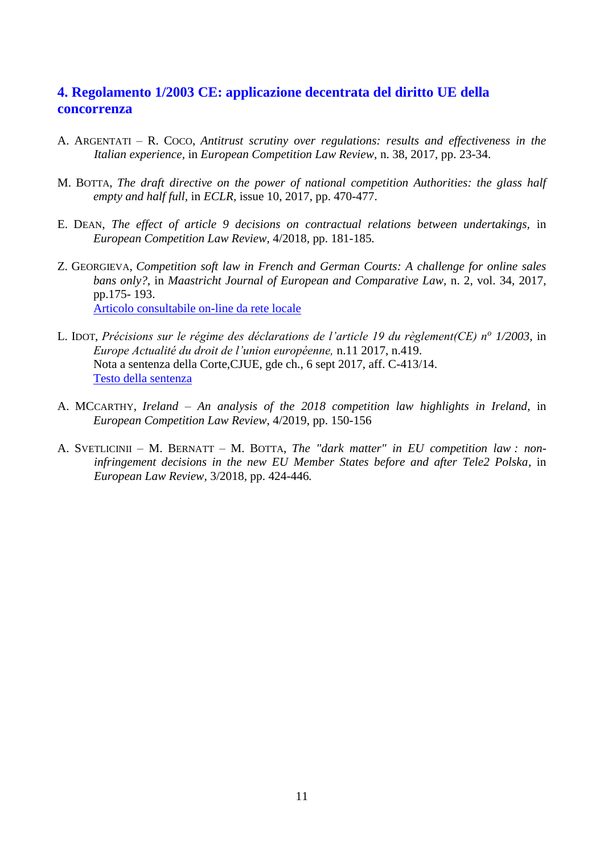## <span id="page-10-0"></span>**4. Regolamento 1/2003 CE: applicazione decentrata del diritto UE della concorrenza**

- A. ARGENTATI R. COCO, *Antitrust scrutiny over regulations: results and effectiveness in the Italian experience,* in *European Competition Law Review,* n. 38, 2017, pp. 23-34.
- M. BOTTA, *The draft directive on the power of national competition Authorities: the glass half empty and half full,* in *ECLR,* issue 10, 2017, pp. 470-477.
- E. DEAN, *The effect of article 9 decisions on contractual relations between undertakings,* in *European Competition Law Review,* 4/2018*,* pp. 181-185*.*
- Z. GEORGIEVA, *Competition soft law in French and German Courts: A challenge for online sales bans only?*, in *Maastricht Journal of European and Comparative Law,* n. 2, vol. 34, 2017, pp.175- 193. [Articolo consultabile on-line da rete locale](http://sfx-39uvr.hosted.exlibrisgroup.com/sfx_univr?url_ver=Z39.88-2004&url_ctx_fmt=info:ofi/fmt:kev:mtx:ctx&ctx_enc=info:ofi/enc:UTF-8&ctx_ver=Z39.88-2004&rfr_id=info:sid/sfxit.com:azlist&sfx.ignore_date_threshold=1&rft.object_id=110978984250464&rft.object_portfolio_id=)
- L. IDOT, *Précisions sur le régime des déclarations de l'article 19 du règlement(CE) n<sup>o</sup> 1/2003,* in *Europe Actualité du droit de l'union européenne,* n.11 2017, n.419. Nota a sentenza della Corte,CJUE, gde ch., 6 sept 2017, aff. C-413/14. [Testo della sentenza](http://eur-lex.europa.eu/legal-content/IT/TXT/PDF/?uri=CELEX:62014CJ0413&qid=1519726982238&from=IT)
- A. MCCARTHY, *Ireland – An analysis of the 2018 competition law highlights in Ireland*, in *European Competition Law Review*, 4/2019, pp. 150-156
- A. SVETLICINII M. BERNATT M. BOTTA, *The "dark matter" in EU competition law : noninfringement decisions in the new EU Member States before and after Tele2 Polska,* in *European Law Review,* 3/2018*,* pp. 424-446*.*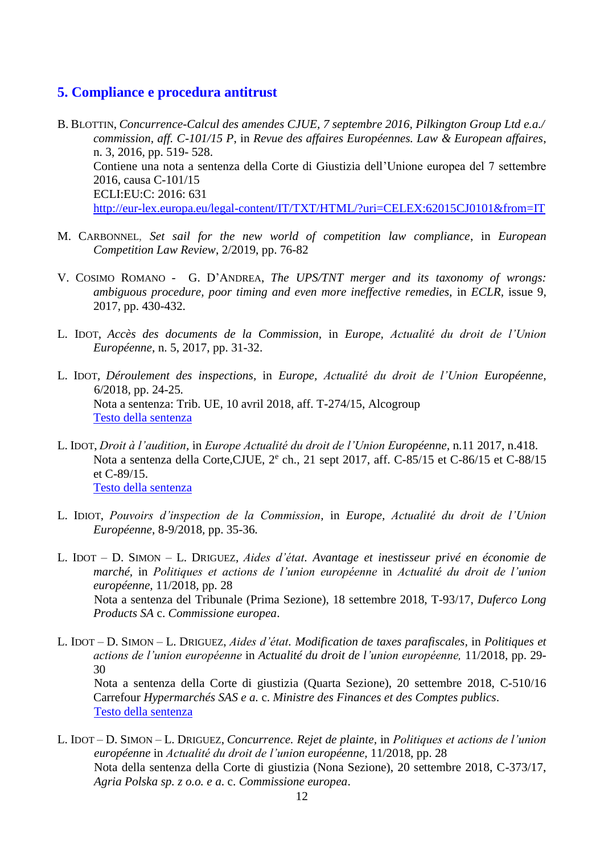#### <span id="page-11-0"></span>**5. Compliance e procedura antitrust**

B. BLOTTIN, *Concurrence-Calcul des amendes CJUE, 7 septembre 2016, Pilkington Group Ltd e.a./ commission, aff. C-101/15 P*, in *Revue des affaires Européennes. Law & European affaires*, n. 3, 2016, pp. 519- 528. Contiene una nota a sentenza della Corte di Giustizia dell'Unione europea del 7 settembre 2016, causa C-101/15 ECLI:EU:C: 2016: 631 <http://eur-lex.europa.eu/legal-content/IT/TXT/HTML/?uri=CELEX:62015CJ0101&from=IT>

- M. CARBONNEL, *Set sail for the new world of competition law compliance*, in *European Competition Law Review*, 2/2019, pp. 76-82
- V. COSIMO ROMANO G. D'ANDREA, *The UPS/TNT merger and its taxonomy of wrongs: ambiguous procedure, poor timing and even more ineffective remedies,* in *ECLR,* issue 9, 2017, pp. 430-432.
- L. IDOT, *Accès des documents de la Commission,* in *Europe, Actualité du droit de l'Union Européenne*, n. 5, 2017, pp. 31-32.
- L. IDOT, *Déroulement des inspections,* in *Europe, Actualité du droit de l'Union Européenne,* 6/2018*,* pp. 24-25*.* Nota a sentenza: Trib. UE, 10 avril 2018, aff. T-274/15, Alcogroup [Testo della sentenza](https://eur-lex.europa.eu/legal-content/IT/TXT/PDF/?uri=CELEX:62015TA0274&rid=3)
- L. IDOT, *Droit à l'audition,* in *Europe Actualité du droit de l'Union Européenne,* n.11 2017, n.418. Nota a sentenza della Corte, CJUE, 2<sup>e</sup> ch., 21 sept 2017, aff. C-85/15 et C-86/15 et C-88/15 et C-89/15. [Testo della sentenza](http://eur-lex.europa.eu/legal-content/IT/TXT/PDF/?uri=CELEX:62015CJ0085&qid=1519726768242&from=IT)
- L. IDIOT, *Pouvoirs d'inspection de la Commission,* in *Europe, Actualité du droit de l'Union Européenne*, 8-9/2018*,* pp. 35-36*.*
- L. IDOT D. SIMON L. DRIGUEZ, *Aides d'état. Avantage et inestisseur privé en économie de marché,* in *Politiques et actions de l'union européenne* in *Actualité du droit de l'union européenne,* 11/2018, pp. 28 Nota a sentenza del Tribunale (Prima Sezione), 18 settembre 2018, T-93/17, *Duferco Long Products SA* c. *Commissione europea*.
- L. IDOT D. SIMON L. DRIGUEZ, *Aides d'état. Modification de taxes parafiscales,* in *Politiques et actions de l'union européenne* in *Actualité du droit de l'union européenne,* 11/2018, pp. 29- 30 Nota a sentenza della Corte di giustizia (Quarta Sezione), 20 settembre 2018, C-510/16 Carrefour *Hypermarchés SAS e a.* c. *Ministre des Finances et des Comptes publics*. [Testo della sentenza](https://eur-lex.europa.eu/legal-content/IT/TXT/PDF/?uri=CELEX:62016CJ0510&qid=1551270976766&from=IT)
- L. IDOT D. SIMON L. DRIGUEZ, *Concurrence. Rejet de plainte,* in *Politiques et actions de l'union européenne* in *Actualité du droit de l'union européenne,* 11/2018, pp. 28 Nota della sentenza della Corte di giustizia (Nona Sezione), 20 settembre 2018, C-373/17, *Agria Polska sp. z o.o. e a*. c. *Commissione europea*.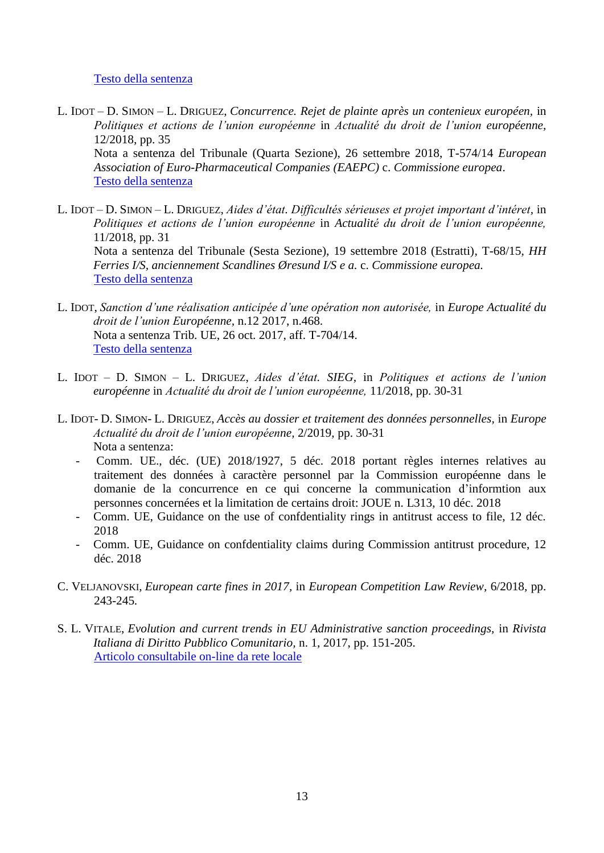#### [Testo della sentenza](https://eur-lex.europa.eu/legal-content/IT/TXT/PDF/?uri=CELEX:62017CJ0373&qid=1551270126031&from=IT)

- L. IDOT D. SIMON L. DRIGUEZ, *Concurrence. Rejet de plainte après un contenieux européen,* in *Politiques et actions de l'union européenne* in *Actualité du droit de l'union européenne,* 12/2018, pp. 35 Nota a sentenza del Tribunale (Quarta Sezione), 26 settembre 2018, T-574/14 *European Association of Euro-Pharmaceutical Companies (EAEPC)* c. *Commissione europea*. Testo [della sentenza](https://eur-lex.europa.eu/legal-content/IT/TXT/PDF/?uri=CELEX:62014TJ0574&qid=1551267010522&from=IT)
- L. IDOT D. SIMON L. DRIGUEZ, *Aides d'état. Difficultés sérieuses et projet important d'intéret,* in *Politiques et actions de l'union européenne* in *Actualité du droit de l'union européenne,* 11/2018, pp. 31 Nota a sentenza del Tribunale (Sesta Sezione), 19 settembre 2018 (Estratti), T-68/15, *HH Ferries I/S, anciennement Scandlines Øresund I/S e a.* c. *Commissione europea.* [Testo della sentenza](https://eur-lex.europa.eu/legal-content/IT/TXT/PDF/?uri=CELEX:62015TJ0068&qid=1551271598839&from=IT)
- L. IDOT, *Sanction d'une réalisation anticipée d'une opération non autorisée,* in *Europe Actualité du droit de l'union Européenne,* n.12 2017, n.468. Nota a sentenza Trib. UE, 26 oct. 2017, aff. T-704/14. [Testo della sentenza](http://eur-lex.europa.eu/legal-content/EN/TXT/PDF/?uri=CELEX:62014TJ0704&qid=1520423932883&from=EN)
- L. IDOT D. SIMON L. DRIGUEZ, *Aides d'état. SIEG,* in *Politiques et actions de l'union européenne* in *Actualité du droit de l'union européenne,* 11/2018, pp. 30-31
- L. IDOT- D. SIMON- L. DRIGUEZ, *Accès au dossier et traitement des données personnelles,* in *Europe Actualité du droit de l'union européenne,* 2/2019, pp. 30-31 Nota a sentenza:
	- Comm. UE., déc. (UE) 2018/1927, 5 déc. 2018 portant règles internes relatives au traitement des données à caractère personnel par la Commission européenne dans le domanie de la concurrence en ce qui concerne la communication d'informtion aux personnes concernées et la limitation de certains droit: JOUE n. L313, 10 déc. 2018
	- Comm. UE, Guidance on the use of confdentiality rings in antitrust access to file, 12 déc. 2018
	- Comm. UE, Guidance on confdentiality claims during Commission antitrust procedure, 12 déc. 2018
- C. VELJANOVSKI, *European carte fines in 2017,* in *European Competition Law Review,* 6/2018*,* pp. 243-245*.*
- S. L. VITALE, *Evolution and current trends in EU Administrative sanction proceedings,* in *Rivista Italiana di Diritto Pubblico Comunitario,* n. 1, 2017, pp. 151-205. [Articolo consultabile on-line da rete locale](http://sfx-39uvr.hosted.exlibrisgroup.com/sfx_univr?url_ver=Z39.88-2004&url_ctx_fmt=info:ofi/fmt:kev:mtx:ctx&ctx_enc=info:ofi/enc:UTF-8&ctx_ver=Z39.88-2004&rfr_id=info:sid/sfxit.com:azlist&sfx.ignore_date_threshold=1&rft.object_id=110978979437800&rft.object_portfolio_id=)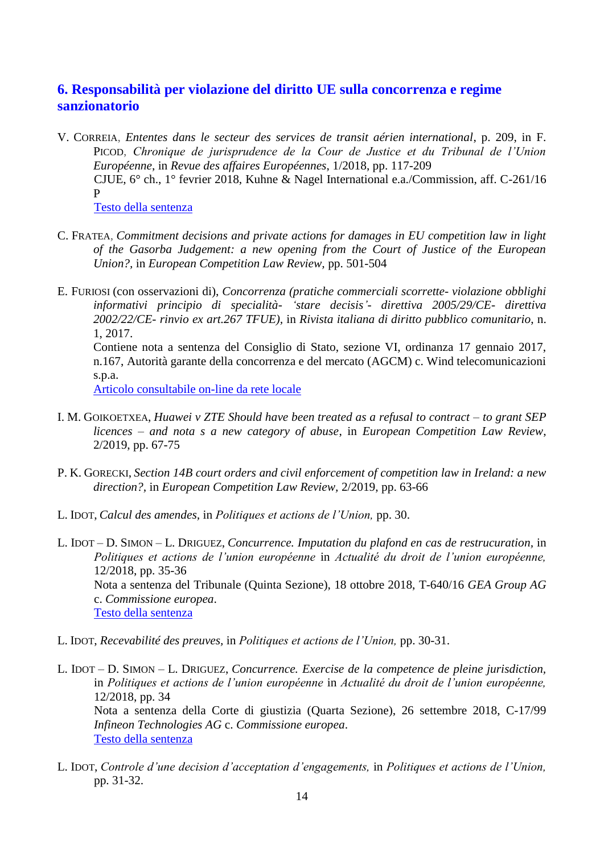## <span id="page-13-0"></span>**6. Responsabilità per violazione del diritto UE sulla concorrenza e regime sanzionatorio**

- V. CORREIA, *Ententes dans le secteur des services de transit aérien international*, p. 209, in F. PICOD, *Chronique de jurisprudence de la Cour de Justice et du Tribunal de l'Union Européenne*, in *Revue des affaires Européennes*, 1/2018, pp. 117-209 CJUE, 6° ch., 1° fevrier 2018, Kuhne & Nagel International e.a./Commission, aff. C-261/16 P [Testo della sentenza](https://eur-lex.europa.eu/legal-content/IT/TXT/PDF/?uri=CELEX:62016CA0261&qid=1554462945891&from=IT)
- C. FRATEA, *Commitment decisions and private actions for damages in EU competition law in light of the Gasorba Judgement: a new opening from the Court of Justice of the European Union?,* in *European Competition Law Review,* pp. 501-504
- E. FURIOSI (con osservazioni di), *Concorrenza (pratiche commerciali scorrette- violazione obblighi informativi principio di specialità- 'stare decisis'- direttiva 2005/29/CE- direttiva 2002/22/CE- rinvio ex art.267 TFUE),* in *Rivista italiana di diritto pubblico comunitario*, n. 1, 2017. Contiene nota a sentenza del Consiglio di Stato, sezione VI, ordinanza 17 gennaio 2017,

n.167, Autorità garante della concorrenza e del mercato (AGCM) c. Wind telecomunicazioni s.p.a.

[Articolo consultabile on-line da rete locale](http://sfx-39uvr.hosted.exlibrisgroup.com/sfx_univr?url_ver=Z39.88-2004&url_ctx_fmt=info:ofi/fmt:kev:mtx:ctx&ctx_enc=info:ofi/enc:UTF-8&ctx_ver=Z39.88-2004&rfr_id=info:sid/sfxit.com:azlist&sfx.ignore_date_threshold=1&rft.object_id=110978979437800&rft.object_portfolio_id=)

- I. M. GOIKOETXEA, *Huawei v ZTE Should have been treated as a refusal to contract – to grant SEP licences – and nota s a new category of abuse*, in *European Competition Law Review*, 2/2019, pp. 67-75
- P. K. GORECKI, *Section 14B court orders and civil enforcement of competition law in Ireland: a new direction?,* in *European Competition Law Review,* 2/2019, pp. 63-66
- L. IDOT, *Calcul des amendes,* in *Politiques et actions de l'Union,* pp. 30.
- L. IDOT D. SIMON L. DRIGUEZ, *Concurrence. Imputation du plafond en cas de restrucuration,* in *Politiques et actions de l'union européenne* in *Actualité du droit de l'union européenne,* 12/2018, pp. 35-36 Nota a sentenza del Tribunale (Quinta Sezione), 18 ottobre 2018, T-640/16 *GEA Group AG* c. *Commissione europea*. [Testo della sentenza](https://eur-lex.europa.eu/legal-content/IT/TXT/PDF/?uri=CELEX:62016TJ0640&qid=1551266759672&from=IT)
- L. IDOT, *Recevabilité des preuves,* in *Politiques et actions de l'Union,* pp. 30-31.
- L. IDOT D. SIMON L. DRIGUEZ, *Concurrence. Exercise de la competence de pleine jurisdiction,* in *Politiques et actions de l'union européenne* in *Actualité du droit de l'union européenne,* 12/2018, pp. 34 Nota a sentenza della Corte di giustizia (Quarta Sezione), 26 settembre 2018, C-17/99 *Infineon Technologies AG* c. *Commissione europea*. [Testo della sentenza](https://eur-lex.europa.eu/legal-content/IT/TXT/PDF/?uri=CELEX:62017CJ0099&qid=1551266271620&from=IT)
- L. IDOT, *Controle d'une decision d'acceptation d'engagements,* in *Politiques et actions de l'Union,* pp. 31-32.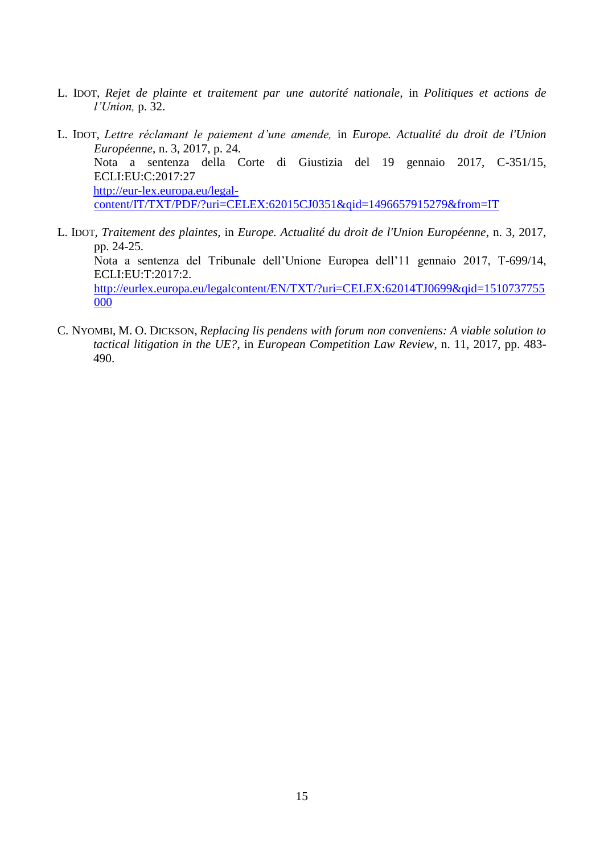- L. IDOT, *Rejet de plainte et traitement par une autorité nationale,* in *Politiques et actions de l'Union,* p. 32.
- L. IDOT, *Lettre réclamant le paiement d'une amende,* in *Europe. Actualité du droit de l'Union Européenne*, n. 3, 2017, p. 24. Nota a sentenza della Corte di Giustizia del 19 gennaio 2017, C-351/15, ECLI:EU:C:2017:27 [http://eur-lex.europa.eu/legal](http://eur-lex.europa.eu/legal-content/IT/TXT/PDF/?uri=CELEX:62015CJ0351&qid=1496657915279&from=IT)[content/IT/TXT/PDF/?uri=CELEX:62015CJ0351&qid=1496657915279&from=IT](http://eur-lex.europa.eu/legal-content/IT/TXT/PDF/?uri=CELEX:62015CJ0351&qid=1496657915279&from=IT)
- L. IDOT*, Traitement des plaintes,* in *Europe. Actualité du droit de l'Union Européenne*, n. 3, 2017, pp. 24-25. Nota a sentenza del Tribunale dell'Unione Europea dell'11 gennaio 2017, T-699/14, ECLI:EU:T:2017:2. [http://eurlex.europa.eu/legalcontent/EN/TXT/?uri=CELEX:62014TJ0699&qid=1510737755](http://eurlex.europa.eu/legalcontent/EN/TXT/?uri=CELEX:62014TJ0699&qid=1510737755000) [000](http://eurlex.europa.eu/legalcontent/EN/TXT/?uri=CELEX:62014TJ0699&qid=1510737755000)
- C. NYOMBI, M. O. DICKSON, *Replacing lis pendens with forum non conveniens: A viable solution to tactical litigation in the UE?*, in *European Competition Law Review*, n. 11, 2017, pp. 483- 490.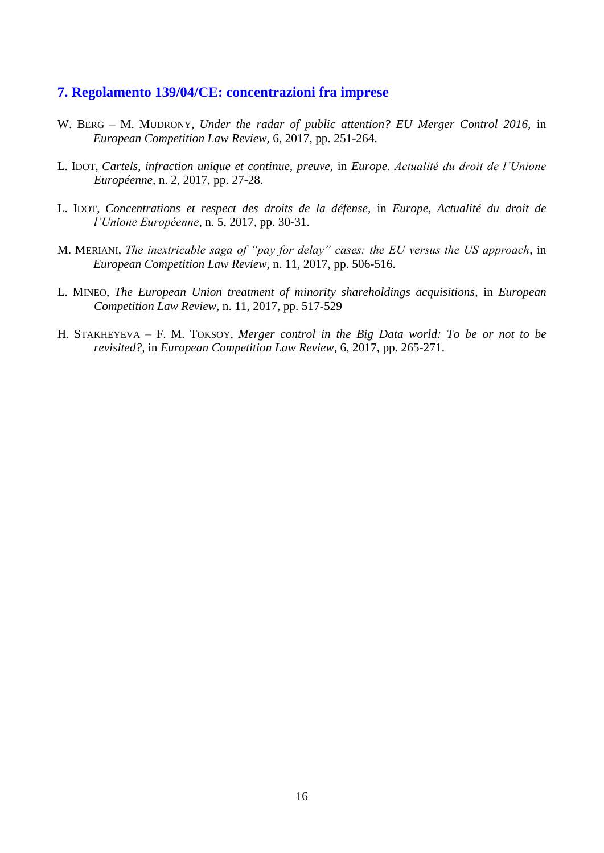#### <span id="page-15-0"></span>**7. Regolamento 139/04/CE: concentrazioni fra imprese**

- W. BERG M. MUDRONY, *Under the radar of public attention? EU Merger Control 2016*, in *European Competition Law Review,* 6, 2017, pp. 251-264.
- L. IDOT, *Cartels, infraction unique et continue, preuve,* in *Europe. Actualité du droit de l'Unione Européenne,* n. 2, 2017, pp. 27-28.
- L. IDOT, *Concentrations et respect des droits de la défense,* in *Europe, Actualité du droit de l'Unione Européenne*, n. 5, 2017, pp. 30-31.
- M. MERIANI, *The inextricable saga of "pay for delay" cases: the EU versus the US approach*, in *European Competition Law Review*, n. 11, 2017, pp. 506-516.
- L. MINEO, *The European Union treatment of minority shareholdings acquisitions*, in *European Competition Law Review*, n. 11, 2017, pp. 517-529
- H. STAKHEYEVA F. M. TOKSOY, *Merger control in the Big Data world: To be or not to be revisited?,* in *European Competition Law Review,* 6, 2017, pp. 265-271.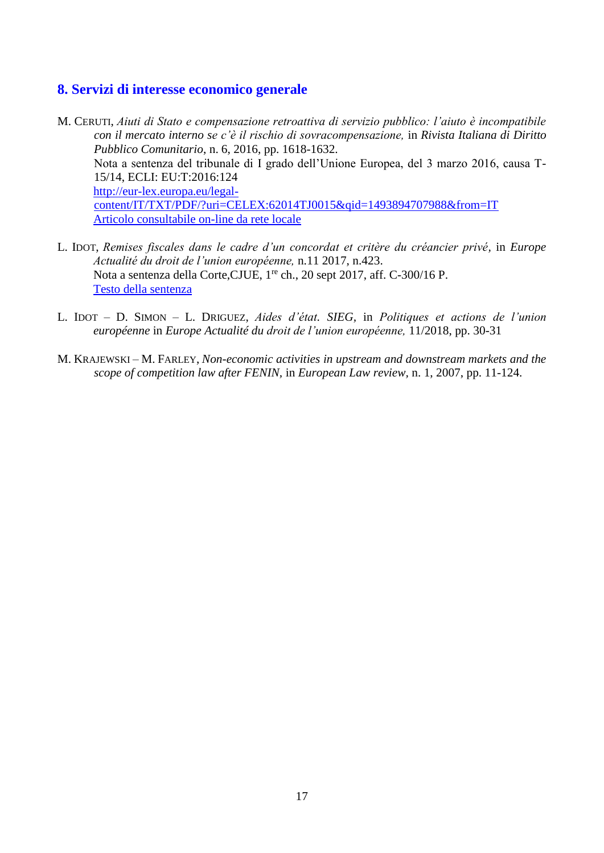## <span id="page-16-0"></span>**8. Servizi di interesse economico generale**

- M. CERUTI, *Aiuti di Stato e compensazione retroattiva di servizio pubblico: l'aiuto è incompatibile con il mercato interno se c'è il rischio di sovracompensazione,* in *Rivista Italiana di Diritto Pubblico Comunitario*, n. 6, 2016, pp. 1618-1632. Nota a sentenza del tribunale di I grado dell'Unione Europea, del 3 marzo 2016, causa T-15/14, ECLI: EU:T:2016:124 [http://eur-lex.europa.eu/legal](http://eur-lex.europa.eu/legal-content/IT/TXT/PDF/?uri=CELEX:62014TJ0015&qid=1493894707988&from=IT)[content/IT/TXT/PDF/?uri=CELEX:62014TJ0015&qid=1493894707988&from=IT](http://eur-lex.europa.eu/legal-content/IT/TXT/PDF/?uri=CELEX:62014TJ0015&qid=1493894707988&from=IT) [Articolo consultabile on-line da rete locale](http://sfx-39uvr.hosted.exlibrisgroup.com/sfx_univr?url_ver=Z39.88-2004&url_ctx_fmt=info:ofi/fmt:kev:mtx:ctx&ctx_enc=info:ofi/enc:UTF-8&ctx_ver=Z39.88-2004&rfr_id=info:sid/sfxit.com:azlist&sfx.ignore_date_threshold=1&rft.object_id=110978979437800&rft.object_portfolio_id=)
- L. IDOT, *Remises fiscales dans le cadre d'un concordat et critère du créancier privé,* in *Europe Actualité du droit de l'union européenne,* n.11 2017, n.423. Nota a sentenza della Corte, CJUE, 1<sup>re</sup> ch., 20 sept 2017, aff. C-300/16 P. [Testo della sentenza](http://eur-lex.europa.eu/legal-content/IT/TXT/PDF/?uri=CELEX:62016CJ0300&qid=1519727558208&from=IT)
- L. IDOT D. SIMON L. DRIGUEZ, *Aides d'état. SIEG,* in *Politiques et actions de l'union européenne* in *Europe Actualité du droit de l'union européenne,* 11/2018, pp. 30-31
- M. KRAJEWSKI M. FARLEY, *Non-economic activities in upstream and downstream markets and the scope of competition law after FENIN,* in *European Law review,* n. 1, 2007, pp. 11-124.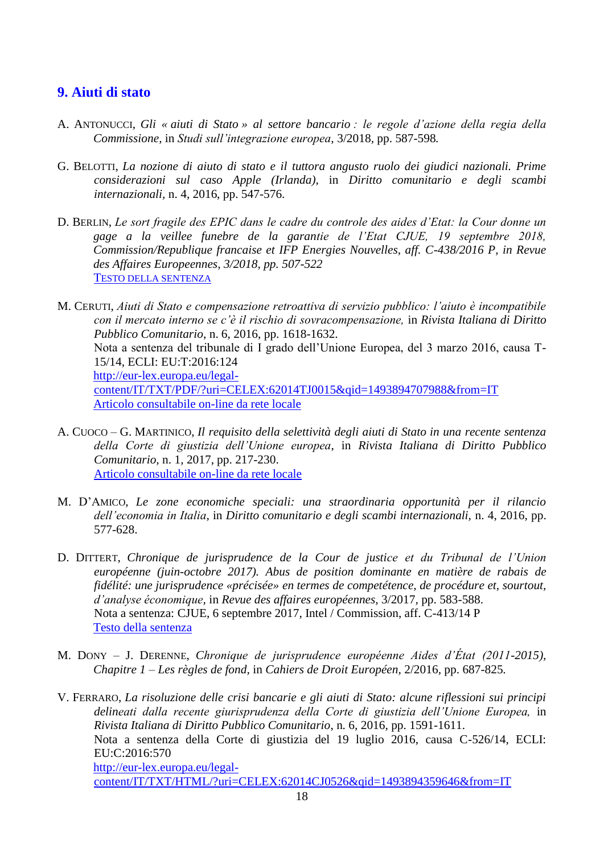## <span id="page-17-0"></span>**9. Aiuti di stato**

- A. ANTONUCCI, *Gli « aiuti di Stato » al settore bancario : le regole d'azione della regia della Commissione,* in *Studi sull'integrazione europea,* 3/2018*,* pp. 587-598*.*
- G. BELOTTI, *La nozione di aiuto di stato e il tuttora angusto ruolo dei giudici nazionali. Prime considerazioni sul caso Apple (Irlanda)*, in *Diritto comunitario e degli scambi internazionali,* n. 4, 2016, pp. 547-576.
- D. BERLIN, *Le sort fragile des EPIC dans le cadre du controle des aides d'Etat: la Cour donne un gage a la veillee funebre de la garantie de l'Etat CJUE, 19 septembre 2018, Commission/Republique francaise et IFP Energies Nouvelles, aff. C-438/2016 P, in Revue des Affaires Europeennes, 3/2018, pp. 507-522* T[ESTO DELLA SENTENZA](https://eur-lex.europa.eu/legal-content/IT/TXT/PDF/?uri=CELEX:62016CA0438&qid=1559206636611&from=IT)
- M. CERUTI, *Aiuti di Stato e compensazione retroattiva di servizio pubblico: l'aiuto è incompatibile con il mercato interno se c'è il rischio di sovracompensazione,* in *Rivista Italiana di Diritto Pubblico Comunitario*, n. 6, 2016, pp. 1618-1632. Nota a sentenza del tribunale di I grado dell'Unione Europea, del 3 marzo 2016, causa T-15/14, ECLI: EU:T:2016:124 [http://eur-lex.europa.eu/legal](http://eur-lex.europa.eu/legal-content/IT/TXT/PDF/?uri=CELEX:62014TJ0015&qid=1493894707988&from=IT)[content/IT/TXT/PDF/?uri=CELEX:62014TJ0015&qid=1493894707988&from=IT](http://eur-lex.europa.eu/legal-content/IT/TXT/PDF/?uri=CELEX:62014TJ0015&qid=1493894707988&from=IT) [Articolo consultabile on-line da rete locale](http://sfx-39uvr.hosted.exlibrisgroup.com/sfx_univr?url_ver=Z39.88-2004&url_ctx_fmt=info:ofi/fmt:kev:mtx:ctx&ctx_enc=info:ofi/enc:UTF-8&ctx_ver=Z39.88-2004&rfr_id=info:sid/sfxit.com:azlist&sfx.ignore_date_threshold=1&rft.object_id=110978979437800&rft.object_portfolio_id=)
- A. CUOCO G. MARTINICO, *Il requisito della selettività degli aiuti di Stato in una recente sentenza della Corte di giustizia dell'Unione europea*, in *Rivista Italiana di Diritto Pubblico Comunitario,* n. 1, 2017, pp. 217-230. [Articolo consultabile on-line da rete locale](http://sfx-39uvr.hosted.exlibrisgroup.com/sfx_univr?url_ver=Z39.88-2004&url_ctx_fmt=info:ofi/fmt:kev:mtx:ctx&ctx_enc=info:ofi/enc:UTF-8&ctx_ver=Z39.88-2004&rfr_id=info:sid/sfxit.com:azlist&sfx.ignore_date_threshold=1&rft.object_id=110978979437800&rft.object_portfolio_id=)
- M. D'AMICO, *Le zone economiche speciali: una straordinaria opportunità per il rilancio dell'economia in Italia*, in *Diritto comunitario e degli scambi internazionali,* n. 4, 2016, pp. 577-628.
- D. DITTERT, *Chronique de jurisprudence de la Cour de justice et du Tribunal de l'Union européenne (juin-octobre 2017). Abus de position dominante en matière de rabais de fidélité: une jurisprudence «précisée» en termes de competétence, de procédure et, sourtout, d'analyse économique,* in *Revue des affaires européennes,* 3/2017*,* pp. 583-588. Nota a sentenza: CJUE, 6 septembre 2017, Intel / Commission, aff. C-413/14 P [Testo della sentenza](https://eur-lex.europa.eu/legal-content/IT/TXT/PDF/?uri=CELEX:62014CJ0413&rid=5)
- M. DONY J. DERENNE, *Chronique de jurisprudence européenne Aides d'État (2011-2015), Chapitre 1 – Les règles de fond,* in *Cahiers de Droit Européen,* 2/2016*,* pp. 687-825*.*
- V. FERRARO, *La risoluzione delle crisi bancarie e gli aiuti di Stato: alcune riflessioni sui principi delineati dalla recente giurisprudenza della Corte di giustizia dell'Unione Europea,* in *Rivista Italiana di Diritto Pubblico Comunitario*, n. 6, 2016, pp. 1591-1611. Nota a sentenza della Corte di giustizia del 19 luglio 2016, causa C-526/14, ECLI: EU:C:2016:570 [http://eur-lex.europa.eu/legal-](http://eur-lex.europa.eu/legal-content/IT/TXT/HTML/?uri=CELEX:62014CJ0526&qid=1493894359646&from=IT)

[content/IT/TXT/HTML/?uri=CELEX:62014CJ0526&qid=1493894359646&from=IT](http://eur-lex.europa.eu/legal-content/IT/TXT/HTML/?uri=CELEX:62014CJ0526&qid=1493894359646&from=IT)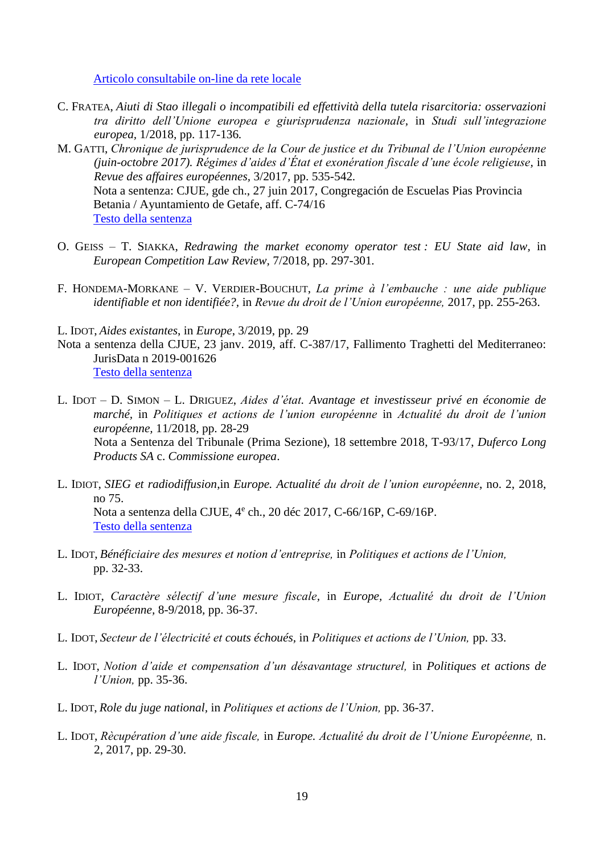[Articolo consultabile on-line da rete locale](http://sfx-39uvr.hosted.exlibrisgroup.com/sfx_univr?url_ver=Z39.88-2004&url_ctx_fmt=info:ofi/fmt:kev:mtx:ctx&ctx_enc=info:ofi/enc:UTF-8&ctx_ver=Z39.88-2004&rfr_id=info:sid/sfxit.com:azlist&sfx.ignore_date_threshold=1&rft.object_id=110978979437800&rft.object_portfolio_id=)

- C. FRATEA, *Aiuti di Stao illegali o incompatibili ed effettività della tutela risarcitoria: osservazioni tra diritto dell'Unione europea e giurisprudenza nazionale,* in *Studi sull'integrazione europea,* 1/2018*,* pp. 117-136*.*
- M. GATTI, *Chronique de jurisprudence de la Cour de justice et du Tribunal de l'Union européenne (juin-octobre 2017). Régimes d'aides d'État et exonération fiscale d'une école religieuse,* in *Revue des affaires européennes,* 3/2017*,* pp. 535-542*.* Nota a sentenza: CJUE, gde ch., 27 juin 2017, Congregación de Escuelas Pias Provincia Betania / Ayuntamiento de Getafe, aff. C-74/16 [Testo della sentenza](https://eur-lex.europa.eu/legal-content/IT/TXT/PDF/?uri=CELEX:62016CJ0074&rid=5)
- O. GEISS T. SIAKKA, *Redrawing the market economy operator test : EU State aid law,* in *European Competition Law Review,* 7/2018*,* pp. 297-301*.*
- F. HONDEMA-MORKANE V. VERDIER-BOUCHUT, *La prime à l'embauche : une aide publique identifiable et non identifiée?,* in *Revue du droit de l'Union européenne,* 2017, pp. 255-263.
- L. IDOT, *Aides existantes*, in *Europe*, 3/2019, pp. 29
- Nota a sentenza della CJUE, 23 janv. 2019, aff. C-387/17, Fallimento Traghetti del Mediterraneo: JurisData n 2019-001626 [Testo della sentenza](https://eur-lex.europa.eu/legal-content/AUTO/?uri=CELEX:62017CJ0387&qid=1562136379046&rid=2)
- L. IDOT D. SIMON L. DRIGUEZ, *Aides d'état. Avantage et investisseur privé en économie de marché,* in *Politiques et actions de l'union européenne* in *Actualité du droit de l'union européenne,* 11/2018, pp. 28-29 Nota a Sentenza del Tribunale (Prima Sezione), 18 settembre 2018, T-93/17, *Duferco Long Products SA* c. *Commissione europea*.
- L. IDIOT, *SIEG et radiodiffusion*,in *Europe. Actualité du droit de l'union européenne*, no. 2, 2018, no 75. Nota a sentenza della CJUE, 4<sup>e</sup> ch., 20 déc 2017, C-66/16P, C-69/16P. [Testo della sentenza](http://eur-lex.europa.eu/legal-content/IT/TXT/PDF/?uri=CELEX:62016CJ0066&rid=3)
- L. IDOT, *Bénéficiaire des mesures et notion d'entreprise,* in *Politiques et actions de l'Union,* pp. 32-33.
- L. IDIOT, *Caractère sélectif d'une mesure fiscale,* in *Europe, Actualité du droit de l'Union Européenne,* 8-9/2018*,* pp. 36-37*.*
- L. IDOT, *Secteur de l'électricité et couts échoués,* in *Politiques et actions de l'Union,* pp. 33.
- L. IDOT, *Notion d'aide et compensation d'un désavantage structurel,* in *Politiques et actions de l'Union,* pp. 35-36.
- L. IDOT, *Role du juge national,* in *Politiques et actions de l'Union,* pp. 36-37.
- L. IDOT, *Rècupération d'une aide fiscale,* in *Europe. Actualité du droit de l'Unione Européenne,* n. 2, 2017, pp. 29-30.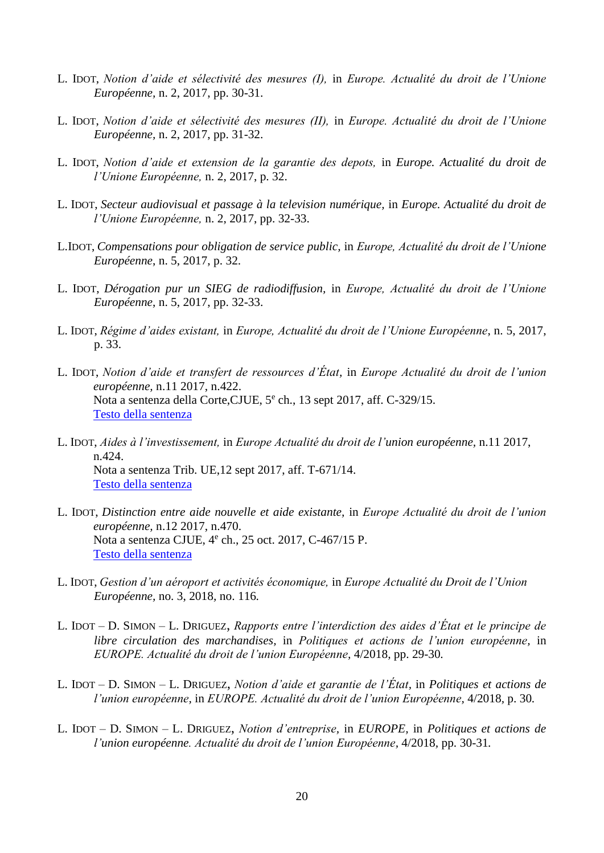- L. IDOT, *Notion d'aide et sélectivité des mesures (I),* in *Europe. Actualité du droit de l'Unione Européenne,* n. 2, 2017, pp. 30-31.
- L. IDOT, *Notion d'aide et sélectivité des mesures (II),* in *Europe. Actualité du droit de l'Unione Européenne,* n. 2, 2017, pp. 31-32.
- L. IDOT, *Notion d'aide et extension de la garantie des depots,* in *Europe. Actualité du droit de l'Unione Européenne,* n. 2, 2017, p. 32.
- L. IDOT, *Secteur audiovisual et passage à la television numérique,* in *Europe. Actualité du droit de l'Unione Européenne,* n. 2, 2017, pp. 32-33.
- L.IDOT, *Compensations pour obligation de service public,* in *Europe, Actualité du droit de l'Unione Européenne*, n. 5, 2017, p. 32.
- L. IDOT, *Dérogation pur un SIEG de radiodiffusion,* in *Europe, Actualité du droit de l'Unione Européenne*, n. 5, 2017, pp. 32-33.
- L. IDOT, *Régime d'aides existant,* in *Europe, Actualité du droit de l'Unione Européenne*, n. 5, 2017, p. 33.
- L. IDOT, *Notion d'aide et transfert de ressources d'État,* in *Europe Actualité du droit de l'union européenne,* n.11 2017, n.422. Nota a sentenza della Corte, CJUE, 5<sup>e</sup> ch., 13 sept 2017, aff. C-329/15. [Testo della sentenza](http://eur-lex.europa.eu/legal-content/IT/TXT/PDF/?uri=CELEX:62015CJ0329&qid=1519727226329&from=IT)
- L. IDOT, *Aides à l'investissement,* in *Europe Actualité du droit de l'union européenne,* n.11 2017, n.424. Nota a sentenza Trib. UE,12 sept 2017, aff. T-671/14. [Testo della sentenza](https://www.dropbox.com/referrer_cleansing_redirect?hmac=Fa7aLQXQe9L5UMOCD6PZAo9wdjjqyuJMBUAqidcjjKc%3D&url=http%3A%2F%2Feur-lex.europa.eu%2Flegal-content%2FIT%2FTXT%2FPDF%2F%3Furi%3DCELEX%3A62014TJ0671%26qid%3D1519727394981%26from%3DIT)
- L. IDOT, *Distinction entre aide nouvelle et aide existante,* in *Europe Actualité du droit de l'union européenne,* n.12 2017, n.470. Nota a sentenza CJUE, 4<sup>e</sup> ch., 25 oct. 2017, C-467/15 P. [Testo della sentenza](http://eur-lex.europa.eu/legal-content/IT/TXT/PDF/?uri=CELEX:62015CO0467&qid=1520424113134&from=EN)
- L. IDOT, *Gestion d'un aéroport et activités économique,* in *Europe Actualité du Droit de l'Union Européenne,* no. 3, 2018*,* no. 116*.*
- L. IDOT D. SIMON L. DRIGUEZ, *Rapports entre l'interdiction des aides d'État et le principe de libre circulation des marchandises,* in *Politiques et actions de l'union européenne,* in *EUROPE. Actualité du droit de l'union Européenne,* 4/2018*,* pp. 29-30*.*
- L. IDOT D. SIMON L. DRIGUEZ, *Notion d'aide et garantie de l'État,* in *Politiques et actions de l'union européenne,* in *EUROPE. Actualité du droit de l'union Européenne,* 4/2018*,* p. 30*.*
- L. IDOT D. SIMON L. DRIGUEZ, *Notion d'entreprise,* in *EUROPE,* in *Politiques et actions de l'union européenne. Actualité du droit de l'union Européenne,* 4/2018*,* pp. 30-31*.*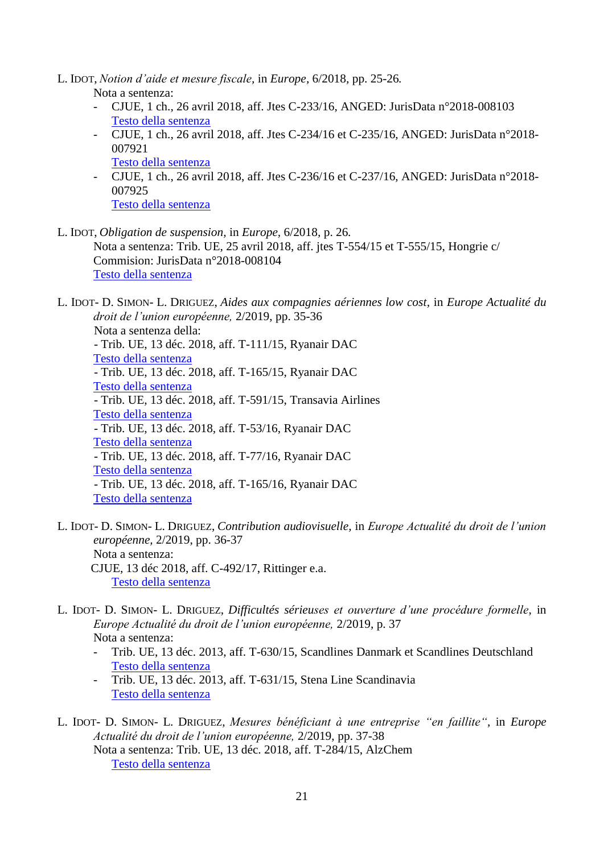- L. IDOT, *Notion d'aide et mesure fiscale,* in *Europe,* 6/2018*,* pp. 25-26*.* Nota a sentenza:
	- CJUE, 1 ch., 26 avril 2018, aff. Jtes C-233/16, ANGED: JurisData n°2018-008103 [Testo della sentenza](https://eur-lex.europa.eu/legal-content/IT/TXT/PDF/?uri=CELEX:62016CJ0233&rid=2)
	- CJUE, 1 ch., 26 avril 2018, aff. Jtes C-234/16 et C-235/16, ANGED: JurisData n°2018- 007921 [Testo della sentenza](https://eur-lex.europa.eu/legal-content/IT/TXT/PDF/?uri=CELEX:62016CJ0234&rid=2)
	- CJUE, 1 ch., 26 avril 2018, aff. Jtes C-236/16 et C-237/16, ANGED: JurisData n°2018- 007925 [Testo della sentenza](https://eur-lex.europa.eu/legal-content/IT/TXT/PDF/?uri=CELEX:62016CJ0236&rid=2)
- L. IDOT, *Obligation de suspension,* in *Europe,* 6/2018*,* p. 26*.* Nota a sentenza: Trib. UE, 25 avril 2018, aff. jtes T-554/15 et T-555/15, Hongrie c/ Commision: JurisData n°2018-008104 [Testo della sentenza](https://eur-lex.europa.eu/legal-content/IT/TXT/PDF/?uri=CELEX:62015TJ0554&rid=2)

L. IDOT- D. SIMON- L. DRIGUEZ, *Aides aux compagnies aériennes low cost,* in *Europe Actualité du droit de l'union européenne,* 2/2019, pp. 35-36 Nota a sentenza della: - Trib. UE, 13 déc. 2018, aff. T-111/15, Ryanair DAC [Testo della sentenza](https://eur-lex.europa.eu/legal-content/AUTO/?uri=CELEX:62015TJ0111&qid=1562143110184&rid=2) - Trib. UE, 13 déc. 2018, aff. T-165/15, Ryanair DAC [Testo della sentenza](https://eur-lex.europa.eu/legal-content/AUTO/?uri=CELEX:62015TJ0165&qid=1562143171441&rid=2) - Trib. UE, 13 déc. 2018, aff. T-591/15, Transavia Airlines [Testo della sentenza](https://eur-lex.europa.eu/legal-content/AUTO/?uri=CELEX:62015TA0591&qid=1562143271785&rid=1) - Trib. UE, 13 déc. 2018, aff. T-53/16, Ryanair DAC [Testo della sentenza](https://eur-lex.europa.eu/legal-content/AUTO/?uri=CELEX:62016TJ0053&qid=1562143321188&rid=2) - Trib. UE, 13 déc. 2018, aff. T-77/16, Ryanair DAC [Testo della sentenza](https://eur-lex.europa.eu/legal-content/AUTO/?uri=CELEX:62016TJ0077&qid=1562143385242&rid=2) - Trib. UE, 13 déc. 2018, aff. T-165/16, Ryanair DAC [Testo della sentenza](https://eur-lex.europa.eu/legal-content/AUTO/?uri=CELEX:62016TJ0165&qid=1562143434929&rid=2)

- L. IDOT- D. SIMON- L. DRIGUEZ, *Contribution audiovisuelle,* in *Europe Actualité du droit de l'union européenne,* 2/2019, pp. 36-37 Nota a sentenza: CJUE, 13 déc 2018, aff. C-492/17, Rittinger e.a. [Testo della sentenza](https://eur-lex.europa.eu/legal-content/AUTO/?uri=CELEX:62017CA0492&qid=1562144037434&rid=3)
- L. IDOT- D. SIMON- L. DRIGUEZ, *Difficultés sérieuses et ouverture d'une procédure formelle,* in *Europe Actualité du droit de l'union européenne,* 2/2019, p. 37 Nota a sentenza:
	- Trib. UE, 13 déc. 2013, aff. T-630/15, Scandlines Danmark et Scandlines Deutschland [Testo della sentenza](https://eur-lex.europa.eu/legal-content/AUTO/?uri=CELEX:62015TA0630&qid=1562145372436&rid=1)
	- Trib. UE, 13 déc. 2013, aff. T-631/15, Stena Line Scandinavia [Testo della sentenza](https://eur-lex.europa.eu/legal-content/AUTO/?uri=CELEX:62015TA0631&qid=1562145416672&rid=1)
- L. IDOT- D. SIMON- L. DRIGUEZ, *Mesures bénéficiant à une entreprise "en faillite",* in *Europe Actualité du droit de l'union européenne,* 2/2019, pp. 37-38 Nota a sentenza: Trib. UE, 13 déc. 2018, aff. T-284/15, AlzChem [Testo della sentenza](https://eur-lex.europa.eu/legal-content/AUTO/?uri=CELEX:62015TJ0284&qid=1562145887799&rid=2)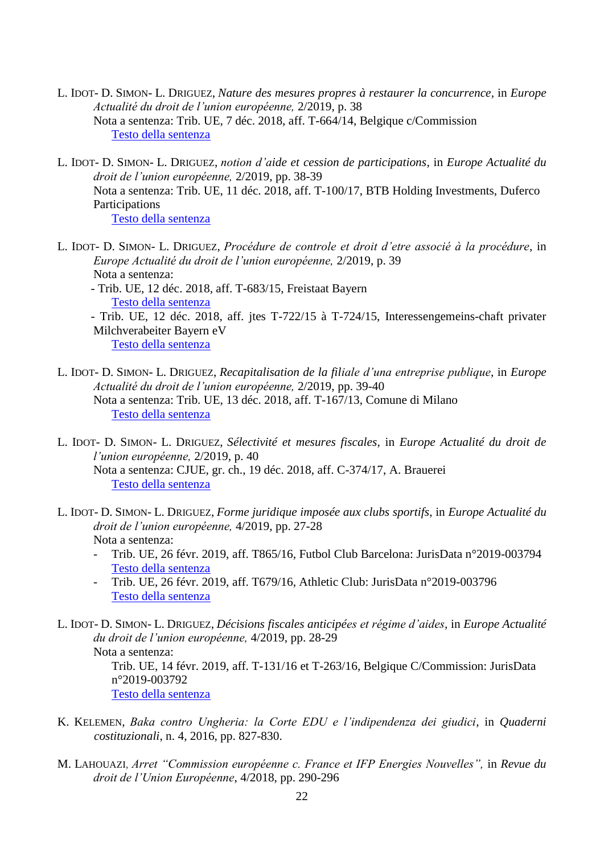- L. IDOT- D. SIMON- L. DRIGUEZ, *Nature des mesures propres à restaurer la concurrence,* in *Europe Actualité du droit de l'union européenne,* 2/2019, p. 38 Nota a sentenza: Trib. UE, 7 déc. 2018, aff. T-664/14, Belgique c/Commission [Testo della sentenza](https://eur-lex.europa.eu/legal-content/AUTO/?uri=CELEX:62014TA0664&qid=1562147492239&rid=1)
- L. IDOT- D. SIMON- L. DRIGUEZ, *notion d'aide et cession de participations,* in *Europe Actualité du droit de l'union européenne,* 2/2019, pp. 38-39 Nota a sentenza: Trib. UE, 11 déc. 2018, aff. T-100/17, BTB Holding Investments, Duferco Participations [Testo della sentenza](https://eur-lex.europa.eu/legal-content/AUTO/?uri=CELEX:62017TA0100&qid=1562147798490&rid=1)
- L. IDOT- D. SIMON- L. DRIGUEZ, *Procédure de controle et droit d'etre associé à la procédure,* in *Europe Actualité du droit de l'union européenne,* 2/2019, p. 39 Nota a sentenza: - Trib. UE, 12 déc. 2018, aff. T-683/15, Freistaat Bayern [Testo della sentenza](https://eur-lex.europa.eu/legal-content/AUTO/?uri=CELEX:62015TA0683&qid=1562148348032&rid=1) - Trib. UE, 12 déc. 2018, aff. jtes T-722/15 à T-724/15, Interessengemeins-chaft privater Milchverabeiter Bayern eV

[Testo della sentenza](https://eur-lex.europa.eu/legal-content/AUTO/?uri=CELEX:62015TA0722&qid=1562148245398&rid=1)

- L. IDOT- D. SIMON- L. DRIGUEZ, *Recapitalisation de la filiale d'una entreprise publique,* in *Europe Actualité du droit de l'union européenne,* 2/2019, pp. 39-40 Nota a sentenza: Trib. UE, 13 déc. 2018, aff. T-167/13, Comune di Milano [Testo della sentenza](https://eur-lex.europa.eu/legal-content/AUTO/?uri=CELEX:62013TA0167&qid=1562148556535&rid=1)
- L. IDOT- D. SIMON- L. DRIGUEZ, *Sélectivité et mesures fiscales,* in *Europe Actualité du droit de l'union européenne,* 2/2019, p. 40 Nota a sentenza: CJUE, gr. ch., 19 déc. 2018, aff. C-374/17, A. Brauerei [Testo della sentenza](https://eur-lex.europa.eu/legal-content/AUTO/?uri=CELEX:62017CA0374&qid=1562148712982&rid=1)
- L. IDOT- D. SIMON- L. DRIGUEZ, *Forme juridique imposée aux clubs sportifs,* in *Europe Actualité du droit de l'union européenne,* 4/2019, pp. 27-28 Nota a sentenza:
	- Trib. UE, 26 févr. 2019, aff. T865/16, Futbol Club Barcelona: JurisData n°2019-003794 [Testo della sentenza](https://eur-lex.europa.eu/legal-content/AUTO/?uri=CELEX:62016TA0865&qid=1562138459805&rid=1)
	- Trib. UE, 26 févr. 2019, aff. T679/16, Athletic Club: JurisData n°2019-003796 [Testo della sentenza](https://eur-lex.europa.eu/legal-content/AUTO/?uri=CELEX:62016TA0679&qid=1562138575180&rid=1)

L. IDOT- D. SIMON- L. DRIGUEZ, *Décisions fiscales anticipées et régime d'aides,* in *Europe Actualité du droit de l'union européenne,* 4/2019, pp. 28-29 Nota a sentenza: Trib. UE, 14 févr. 2019, aff. T-131/16 et T-263/16, Belgique C/Commission: JurisData n°2019-003792 [Testo della sentenza](https://eur-lex.europa.eu/legal-content/AUTO/?uri=CELEX:62016TJ0131&qid=1562138912036&rid=2)

- K. KELEMEN, *Baka contro Ungheria: la Corte EDU e l'indipendenza dei giudici*, in *Quaderni costituzionali*, n. 4, 2016, pp. 827-830.
- M. LAHOUAZI, *Arret "Commission européenne c. France et IFP Energies Nouvelles",* in *Revue du droit de l'Union Européenne*, 4/2018, pp. 290-296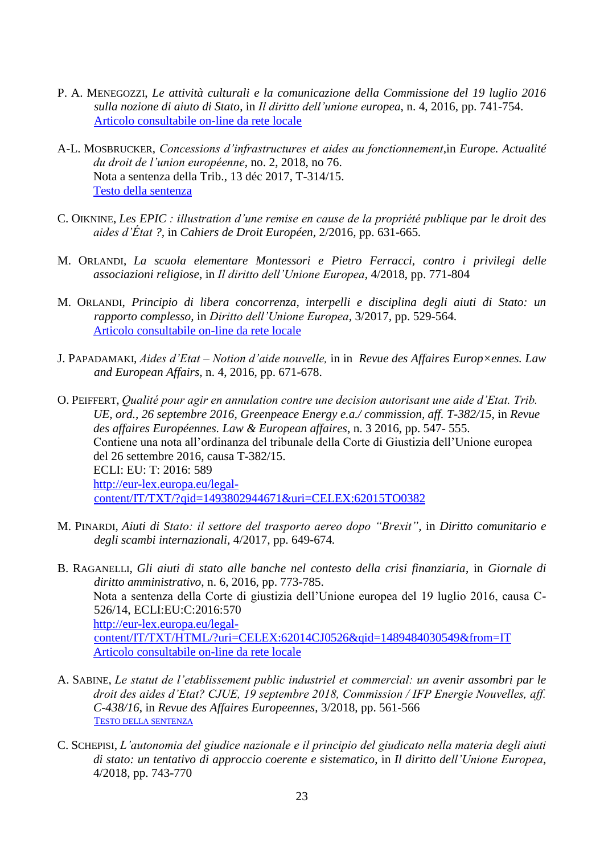- P. A. MENEGOZZI, *Le attività culturali e la comunicazione della Commissione del 19 luglio 2016 sulla nozione di aiuto di Stato*, in *Il diritto dell'unione europea*, n. 4, 2016, pp. 741-754. [Articolo consultabile on-line da rete locale](http://sfx-39uvr.hosted.exlibrisgroup.com/sfx_univr?url_ver=Z39.88-2004&url_ctx_fmt=info:ofi/fmt:kev:mtx:ctx&ctx_enc=info:ofi/enc:UTF-8&ctx_ver=Z39.88-2004&rfr_id=info:sid/sfxit.com:azlist&sfx.ignore_date_threshold=1&rft.object_id=1000000000210632&rft.object_portfolio_id=)
- A-L. MOSBRUCKER, *Concessions d'infrastructures et aides au fonctionnement*,in *Europe. Actualité du droit de l'union européenne*, no. 2, 2018, no 76. Nota a sentenza della Trib., 13 déc 2017, T-314/15. [Testo della sentenza](http://eur-lex.europa.eu/legal-content/IT/TXT/PDF/?uri=CELEX:62015TA0314&rid=1)
- C. OIKNINE, *Les EPIC : illustration d'une remise en cause de la propriété publique par le droit des aides d'État ?,* in *Cahiers de Droit Européen,* 2/2016*,* pp. 631-665*.*
- M. ORLANDI, *La scuola elementare Montessori e Pietro Ferracci, contro i privilegi delle associazioni religiose*, in *Il diritto dell'Unione Europea*, 4/2018, pp. 771-804
- M. ORLANDI, *Principio di libera concorrenza, interpelli e disciplina degli aiuti di Stato: un rapporto complesso,* in *Diritto dell'Unione Europea,* 3/2017*,* pp. 529-564. [Articolo consultabile on-line da rete locale](http://sfx-39uvr.hosted.exlibrisgroup.com/sfx_univr?url_ver=Z39.88-2004&url_ctx_fmt=info:ofi/fmt:kev:mtx:ctx&ctx_enc=info:ofi/enc:UTF-8&ctx_ver=Z39.88-2004&rfr_id=info:sid/sfxit.com:azlist&sfx.ignore_date_threshold=1&rft.object_id=1000000000210632&rft.object_portfolio_id=)
- J. PAPADAMAKI, *Aides d'Etat – Notion d'aide nouvelle,* in in *Revue des Affaires Europ×ennes. Law and European Affairs,* n. 4, 2016, pp. 671-678.
- O. PEIFFERT, *Qualité pour agir en annulation contre une decision autorisant une aide d'Etat. Trib. UE, ord., 26 septembre 2016, Greenpeace Energy e.a./ commission, aff. T-382/15*, in *Revue des affaires Européennes. Law & European affaires*, n. 3 2016, pp. 547- 555. Contiene una nota all'ordinanza del tribunale della Corte di Giustizia dell'Unione europea del 26 settembre 2016, causa T-382/15. ECLI: EU: T: 2016: 589 [http://eur-lex.europa.eu/legal](http://eur-lex.europa.eu/legal-content/IT/TXT/?qid=1493802944671&uri=CELEX:62015TO0382)[content/IT/TXT/?qid=1493802944671&uri=CELEX:62015TO0382](http://eur-lex.europa.eu/legal-content/IT/TXT/?qid=1493802944671&uri=CELEX:62015TO0382)
- M. PINARDI, *Aiuti di Stato: il settore del trasporto aereo dopo "Brexit",* in *Diritto comunitario e degli scambi internazionali,* 4/2017*,* pp. 649-674*.*
- B. RAGANELLI, *Gli aiuti di stato alle banche nel contesto della crisi finanziaria*, in *Giornale di diritto amministrativo*, n. 6, 2016, pp. 773-785. Nota a sentenza della Corte di giustizia dell'Unione europea del 19 luglio 2016, causa C-526/14, ECLI:EU:C:2016:570 [http://eur-lex.europa.eu/legal](http://eur-lex.europa.eu/legal-content/IT/TXT/HTML/?uri=CELEX:62014CJ0526&qid=1489484030549&from=IT)[content/IT/TXT/HTML/?uri=CELEX:62014CJ0526&qid=1489484030549&from=IT](http://eur-lex.europa.eu/legal-content/IT/TXT/HTML/?uri=CELEX:62014CJ0526&qid=1489484030549&from=IT) [Articolo consultabile on-line da rete locale](http://sfx-39uvr.hosted.exlibrisgroup.com/sfx_univr?url_ver=Z39.88-2004&url_ctx_fmt=info:ofi/fmt:kev:mtx:ctx&ctx_enc=info:ofi/enc:UTF-8&ctx_ver=Z39.88-2004&rfr_id=info:sid/sfxit.com:azlist&sfx.ignore_date_threshold=1&rft.object_id=1000000000025877&rft.object_portfolio_id=)
- A. SABINE, *Le statut de l'etablissement public industriel et commercial: un avenir assombri par le droit des aides d'Etat? CJUE, 19 septembre 2018, Commission / IFP Energie Nouvelles, aff. C-438/16*, in *Revue des Affaires Europeennes*, 3/2018, pp. 561-566 T[ESTO DELLA SENTENZA](https://eur-lex.europa.eu/legal-content/IT/TXT/PDF/?uri=CELEX:62016CA0438&qid=1559208488213&from=IT)
- C. SCHEPISI, *L'autonomia del giudice nazionale e il principio del giudicato nella materia degli aiuti di stato: un tentativo di approccio coerente e sistematico*, in *Il diritto dell'Unione Europea*, 4/2018, pp. 743-770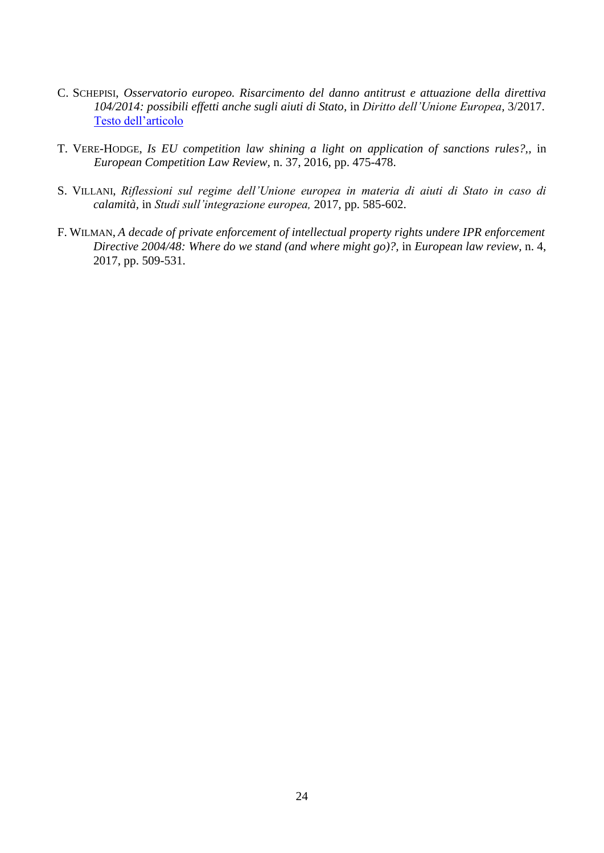- C. SCHEPISI, *Osservatorio europeo. Risarcimento del danno antitrust e attuazione della direttiva 104/2014: possibili effetti anche sugli aiuti di Stato,* in *Diritto dell'Unione Europea,* 3/2017. [Testo dell'articolo](http://www.dirittounioneeuropea.eu/images/osservatorio/Schepisi_Osservatorio_3.pdf)
- T. VERE-HODGE, *Is EU competition law shining a light on application of sanctions rules?,,* in *European Competition Law Review,* n. 37, 2016, pp. 475-478.
- S. VILLANI, *Riflessioni sul regime dell'Unione europea in materia di aiuti di Stato in caso di calamità,* in *Studi sull'integrazione europea,* 2017, pp. 585-602.
- F. WILMAN, *A decade of private enforcement of intellectual property rights undere IPR enforcement Directive 2004/48: Where do we stand (and where might go)?,* in *European law review,* n. 4, 2017, pp. 509-531.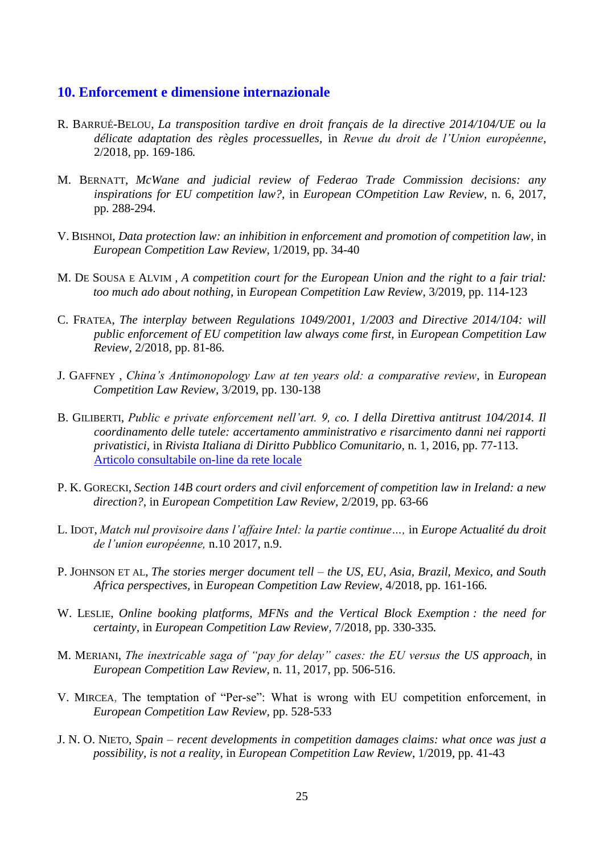#### <span id="page-24-0"></span>**10. Enforcement e dimensione internazionale**

- R. BARRUÉ-BELOU, *La transposition tardive en droit français de la directive 2014/104/UE ou la délicate adaptation des règles processuelles,* in *Revue du droit de l'Union européenne,*  2/2018*,* pp. 169-186*.*
- M. BERNATT, *McWane and judicial review of Federao Trade Commission decisions: any inspirations for EU competition law?,* in *European COmpetition Law Review,* n. 6, 2017, pp. 288-294.
- V. BISHNOI, *Data protection law: an inhibition in enforcement and promotion of competition law*, in *European Competition Law Review*, 1/2019, pp. 34-40
- M. DE SOUSA E ALVIM , *A competition court for the European Union and the right to a fair trial: too much ado about nothing*, in *European Competition Law Review*, 3/2019, pp. 114-123
- C. FRATEA, *The interplay between Regulations 1049/2001, 1/2003 and Directive 2014/104: will public enforcement of EU competition law always come first,* in *European Competition Law Review,* 2/2018*,* pp. 81-86*.*
- J. GAFFNEY , *China's Antimonopology Law at ten years old: a comparative review*, in *European Competition Law Review*, 3/2019, pp. 130-138
- B. GILIBERTI, *Public e private enforcement nell'art. 9, co. I della Direttiva antitrust 104/2014. Il coordinamento delle tutele: accertamento amministrativo e risarcimento danni nei rapporti privatistici,* in *Rivista Italiana di Diritto Pubblico Comunitario,* n. 1, 2016, pp. 77-113. [Articolo consultabile on-line da rete locale](http://sfx-39uvr.hosted.exlibrisgroup.com/sfx_univr?url_ver=Z39.88-2004&url_ctx_fmt=info:ofi/fmt:kev:mtx:ctx&ctx_enc=info:ofi/enc:UTF-8&ctx_ver=Z39.88-2004&rfr_id=info:sid/sfxit.com:azlist&sfx.ignore_date_threshold=1&rft.object_id=110978979437800&rft.object_portfolio_id=)
- P. K. GORECKI, *Section 14B court orders and civil enforcement of competition law in Ireland: a new direction?,* in *European Competition Law Review,* 2/2019, pp. 63-66
- L. IDOT, *Match nul provisoire dans l'affaire Intel: la partie continue…,* in *Europe Actualité du droit de l'union européenne,* n.10 2017, n.9.
- P. JOHNSON ET AL, *The stories merger document tell – the US, EU, Asia, Brazil, Mexico, and South Africa perspectives,* in *European Competition Law Review,* 4/2018*,* pp. 161-166*.*
- W. LESLIE, *Online booking platforms, MFNs and the Vertical Block Exemption : the need for certainty,* in *European Competition Law Review,* 7/2018*,* pp. 330-335*.*
- M. MERIANI, *The inextricable saga of "pay for delay" cases: the EU versus the US approach*, in *European Competition Law Review*, n. 11, 2017, pp. 506-516.
- V. MIRCEA, The temptation of "Per-se": What is wrong with EU competition enforcement, in *European Competition Law Review,* pp. 528-533
- J. N. O. NIETO, *Spain – recent developments in competition damages claims: what once was just a possibility, is not a reality,* in *European Competition Law Review*, 1/2019, pp. 41-43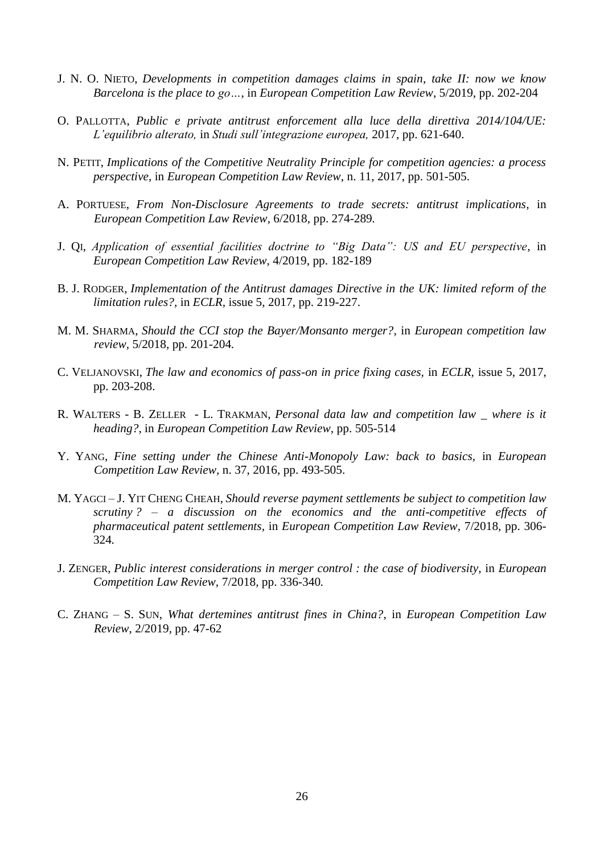- J. N. O. NIETO, *Developments in competition damages claims in spain, take II: now we know Barcelona is the place to go…*, in *European Competition Law Review*, 5/2019, pp. 202-204
- O. PALLOTTA, *Public e private antitrust enforcement alla luce della direttiva 2014/104/UE: L'equilibrio alterato,* in *Studi sull'integrazione europea,* 2017, pp. 621-640.
- N. PETIT, *Implications of the Competitive Neutrality Principle for competition agencies: a process perspective*, in *European Competition Law Review*, n. 11, 2017, pp. 501-505.
- A. PORTUESE, *From Non-Disclosure Agreements to trade secrets: antitrust implications,* in *European Competition Law Review,* 6/2018*,* pp. 274-289*.*
- J. QI, *Application of essential facilities doctrine to "Big Data": US and EU perspective*, in *European Competition Law Review*, 4/2019, pp. 182-189
- B. J. RODGER, *Implementation of the Antitrust damages Directive in the UK: limited reform of the limitation rules?,* in *ECLR,* issue 5, 2017, pp. 219-227.
- M. M. SHARMA, *Should the CCI stop the Bayer/Monsanto merger?,* in *European competition law review,* 5/2018*,* pp. 201-204*.*
- C. VELJANOVSKI, *The law and economics of pass-on in price fixing cases,* in *ECLR,* issue 5, 2017, pp. 203-208.
- R. WALTERS B. ZELLER L. TRAKMAN, *Personal data law and competition law \_ where is it heading?,* in *European Competition Law Review,* pp. 505-514
- Y. YANG, *Fine setting under the Chinese Anti-Monopoly Law: back to basics,* in *European Competition Law Review,* n. 37, 2016, pp. 493-505.
- M. YAGCI J. YIT CHENG CHEAH, *Should reverse payment settlements be subject to competition law scrutiny ? – a discussion on the economics and the anti-competitive effects of pharmaceutical patent settlements,* in *European Competition Law Review,* 7/2018*,* pp. 306- 324*.*
- J. ZENGER, *Public interest considerations in merger control : the case of biodiversity,* in *European Competition Law Review,* 7/2018*,* pp. 336-340*.*
- C. ZHANG S. SUN, *What dertemines antitrust fines in China?*, in *European Competition Law Review,* 2/2019, pp. 47-62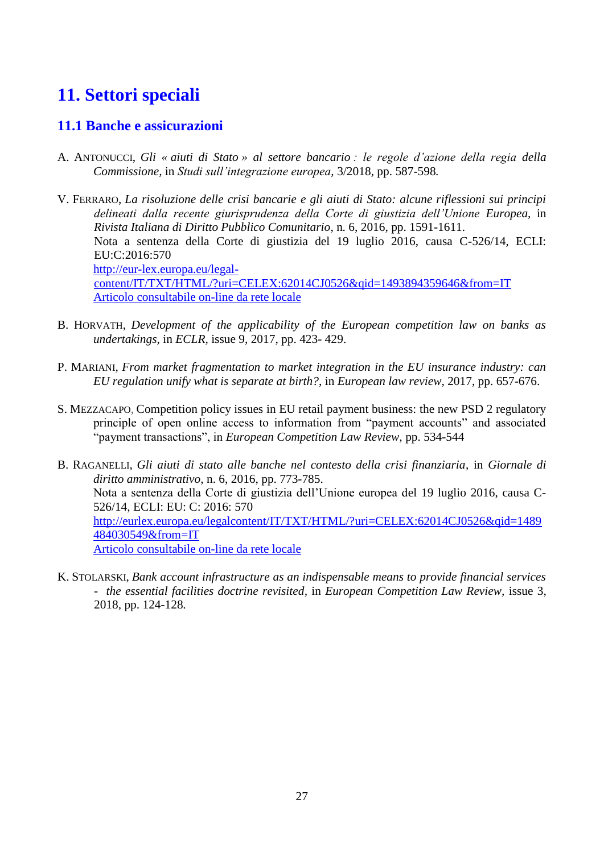# <span id="page-26-0"></span>**11. Settori speciali**

## <span id="page-26-1"></span>**11.1 Banche e assicurazioni**

- A. ANTONUCCI, *Gli « aiuti di Stato » al settore bancario : le regole d'azione della regia della Commissione,* in *Studi sull'integrazione europea,* 3/2018*,* pp. 587-598*.*
- V. FERRARO, *La risoluzione delle crisi bancarie e gli aiuti di Stato: alcune riflessioni sui principi delineati dalla recente giurisprudenza della Corte di giustizia dell'Unione Europea,* in *Rivista Italiana di Diritto Pubblico Comunitario*, n. 6, 2016, pp. 1591-1611. Nota a sentenza della Corte di giustizia del 19 luglio 2016, causa C-526/14, ECLI: EU:C:2016:570 [http://eur-lex.europa.eu/legal](http://eur-lex.europa.eu/legal-content/IT/TXT/HTML/?uri=CELEX:62014CJ0526&qid=1493894359646&from=IT)[content/IT/TXT/HTML/?uri=CELEX:62014CJ0526&qid=1493894359646&from=IT](http://eur-lex.europa.eu/legal-content/IT/TXT/HTML/?uri=CELEX:62014CJ0526&qid=1493894359646&from=IT) [Articolo consultabile on-line da rete locale](http://sfx-39uvr.hosted.exlibrisgroup.com/sfx_univr?url_ver=Z39.88-2004&url_ctx_fmt=info:ofi/fmt:kev:mtx:ctx&ctx_enc=info:ofi/enc:UTF-8&ctx_ver=Z39.88-2004&rfr_id=info:sid/sfxit.com:azlist&sfx.ignore_date_threshold=1&rft.object_id=110978979437800&rft.object_portfolio_id=)
- B. HORVATH, *Development of the applicability of the European competition law on banks as undertakings,* in *ECLR,* issue 9, 2017, pp. 423- 429.
- P. MARIANI, *From market fragmentation to market integration in the EU insurance industry: can EU regulation unify what is separate at birth?*, in *European law review,* 2017, pp. 657-676.
- S. MEZZACAPO, Competition policy issues in EU retail payment business: the new PSD 2 regulatory principle of open online access to information from "payment accounts" and associated "payment transactions", in *European Competition Law Review,* pp. 534-544
- B. RAGANELLI, *Gli aiuti di stato alle banche nel contesto della crisi finanziaria*, in *Giornale di diritto amministrativo*, n. 6, 2016, pp. 773-785. Nota a sentenza della Corte di giustizia dell'Unione europea del 19 luglio 2016, causa C-526/14, ECLI: EU: C: 2016: 570 [http://eurlex.europa.eu/legalcontent/IT/TXT/HTML/?uri=CELEX:62014CJ0526&qid=1489](http://eurlex.europa.eu/legalcontent/IT/TXT/HTML/?uri=CELEX:62014CJ0526&qid=1489484030549&from=IT) [484030549&from=IT](http://eurlex.europa.eu/legalcontent/IT/TXT/HTML/?uri=CELEX:62014CJ0526&qid=1489484030549&from=IT) [Articolo consultabile on-line da rete locale](http://sfx-39uvr.hosted.exlibrisgroup.com/sfx_univr?url_ver=Z39.88-2004&url_ctx_fmt=info:ofi/fmt:kev:mtx:ctx&ctx_enc=info:ofi/enc:UTF-8&ctx_ver=Z39.88-2004&rfr_id=info:sid/sfxit.com:azlist&sfx.ignore_date_threshold=1&rft.object_id=1000000000025877&rft.object_portfolio_id=)
- K. STOLARSKI, *Bank account infrastructure as an indispensable means to provide financial services - the essential facilities doctrine revisited,* in *European Competition Law Review,* issue 3, 2018*,* pp. 124-128*.*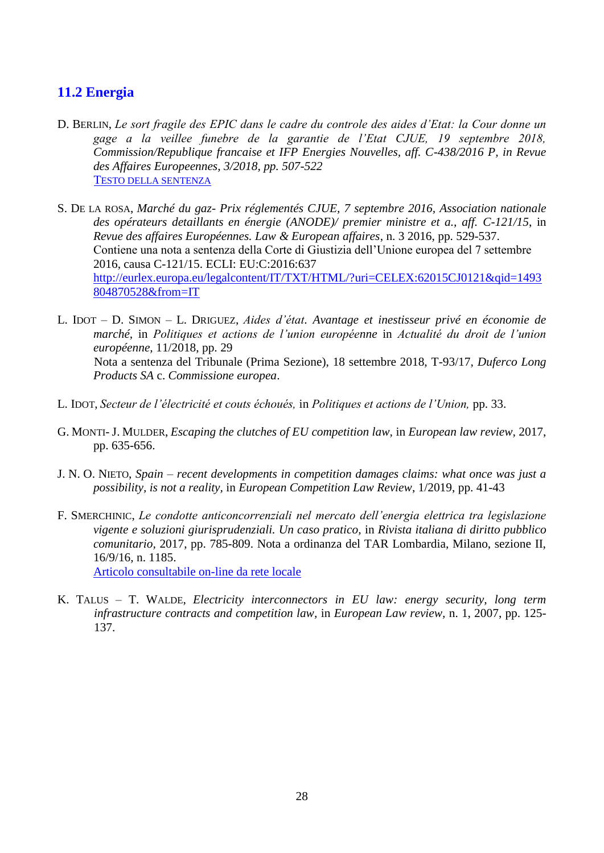## <span id="page-27-0"></span>**11.2 Energia**

- D. BERLIN, *Le sort fragile des EPIC dans le cadre du controle des aides d'Etat: la Cour donne un gage a la veillee funebre de la garantie de l'Etat CJUE, 19 septembre 2018, Commission/Republique francaise et IFP Energies Nouvelles, aff. C-438/2016 P, in Revue des Affaires Europeennes, 3/2018, pp. 507-522* T[ESTO DELLA SENTENZA](https://eur-lex.europa.eu/legal-content/IT/TXT/PDF/?uri=CELEX:62016CA0438&qid=1559206636611&from=IT)
- S. DE LA ROSA, *Marché du gaz- Prix réglementés CJUE, 7 septembre 2016, Association nationale des opérateurs detaillants en énergie (ANODE)/ premier ministre et a., aff. C-121/15*, in *Revue des affaires Européennes. Law & European affaires*, n. 3 2016, pp. 529-537. Contiene una nota a sentenza della Corte di Giustizia dell'Unione europea del 7 settembre 2016, causa C-121/15. ECLI: EU:C:2016:637 [http://eurlex.europa.eu/legalcontent/IT/TXT/HTML/?uri=CELEX:62015CJ0121&qid=1493](http://eurlex.europa.eu/legalcontent/IT/TXT/HTML/?uri=CELEX:62015CJ0121&qid=1493804870528&from=IT) [804870528&from=IT](http://eurlex.europa.eu/legalcontent/IT/TXT/HTML/?uri=CELEX:62015CJ0121&qid=1493804870528&from=IT)
- L. IDOT D. SIMON L. DRIGUEZ, *Aides d'état. Avantage et inestisseur privé en économie de marché,* in *Politiques et actions de l'union européenne* in *Actualité du droit de l'union européenne,* 11/2018, pp. 29 Nota a sentenza del Tribunale (Prima Sezione), 18 settembre 2018, T-93/17, *Duferco Long Products SA* c. *Commissione europea*.
- L. IDOT, *Secteur de l'électricité et couts échoués,* in *Politiques et actions de l'Union,* pp. 33.
- G. MONTI- J. MULDER, *Escaping the clutches of EU competition law,* in *European law review,* 2017, pp. 635-656.
- J. N. O. NIETO, *Spain – recent developments in competition damages claims: what once was just a possibility, is not a reality,* in *European Competition Law Review*, 1/2019, pp. 41-43
- F. SMERCHINIC, *Le condotte anticoncorrenziali nel mercato dell'energia elettrica tra legislazione vigente e soluzioni giurisprudenziali. Un caso pratico,* in *Rivista italiana di diritto pubblico comunitario,* 2017, pp. 785-809. Nota a ordinanza del TAR Lombardia, Milano, sezione II, 16/9/16, n. 1185.

[Articolo consultabile on-line da rete locale](http://sfx-39uvr.hosted.exlibrisgroup.com/sfx_univr?url_ver=Z39.88-2004&url_ctx_fmt=info:ofi/fmt:kev:mtx:ctx&ctx_enc=info:ofi/enc:UTF-8&ctx_ver=Z39.88-2004&rfr_id=info:sid/sfxit.com:azlist&sfx.ignore_date_threshold=1&rft.object_id=110978979437800&rft.object_portfolio_id=)

K. TALUS – T. WALDE, *Electricity interconnectors in EU law: energy security, long term infrastructure contracts and competition law,* in *European Law review,* n. 1, 2007, pp. 125- 137.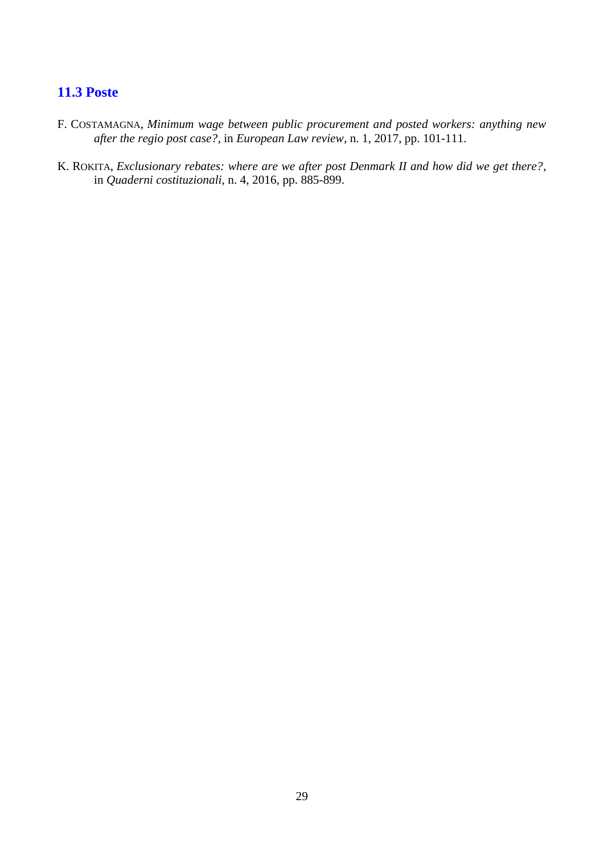## <span id="page-28-0"></span>**11.3 Poste**

- F. COSTAMAGNA, *Minimum wage between public procurement and posted workers: anything new after the regio post case?,* in *European Law review,* n. 1, 2017, pp. 101-111.
- K. ROKITA, *Exclusionary rebates: where are we after post Denmark II and how did we get there?*, in *Quaderni costituzionali*, n. 4, 2016, pp. 885-899.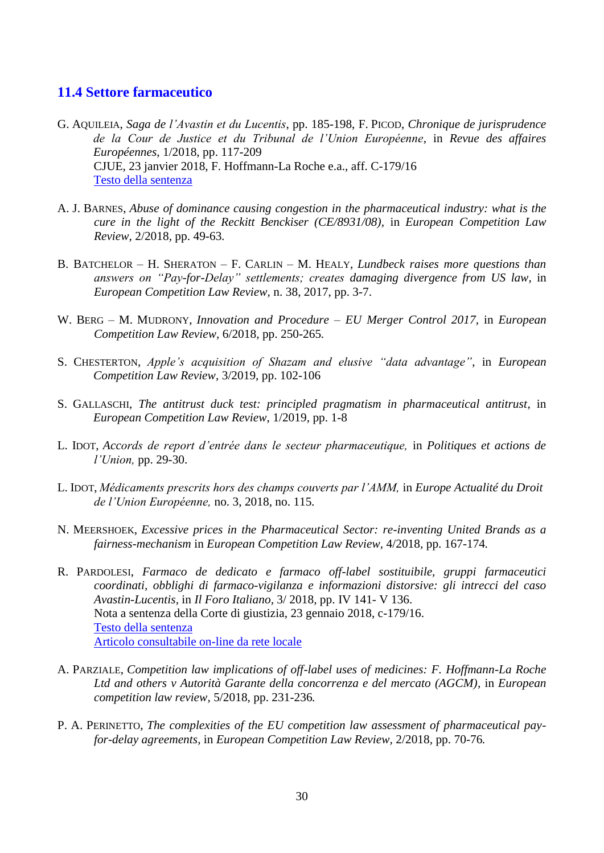## <span id="page-29-0"></span>**11.4 Settore farmaceutico**

- G. AQUILEIA, *Saga de l'Avastin et du Lucentis*, pp. 185-198, F. PICOD, *Chronique de jurisprudence de la Cour de Justice et du Tribunal de l'Union Européenne*, in *Revue des affaires Européennes*, 1/2018, pp. 117-209 CJUE, 23 janvier 2018, F. Hoffmann-La Roche e.a., aff. C-179/16 [Testo della sentenza](https://eur-lex.europa.eu/legal-content/IT/TXT/PDF/?uri=CELEX:62016CJ0179&qid=1554461804818&from=IT)
- A. J. BARNES, *Abuse of dominance causing congestion in the pharmaceutical industry: what is the cure in the light of the Reckitt Benckiser (CE/8931/08),* in *European Competition Law Review,* 2/2018*,* pp. 49-63*.*
- B. BATCHELOR H. SHERATON F. CARLIN M. HEALY, *Lundbeck raises more questions than answers on "Pay-for-Delay" settlements; creates damaging divergence from US law,* in *European Competition Law Review,* n. 38, 2017, pp. 3-7.
- W. BERG M. MUDRONY, *Innovation and Procedure – EU Merger Control 2017,* in *European Competition Law Review,* 6/2018*,* pp. 250-265*.*
- S. CHESTERTON, *Apple's acquisition of Shazam and elusive "data advantage"*, in *European Competition Law Review*, 3/2019, pp. 102-106
- S. GALLASCHI, *The antitrust duck test: principled pragmatism in pharmaceutical antitrust*, in *European Competition Law Review*, 1/2019, pp. 1-8
- L. IDOT, *Accords de report d'entrée dans le secteur pharmaceutique,* in *Politiques et actions de l'Union,* pp. 29-30.
- L. IDOT, *Médicaments prescrits hors des champs couverts par l'AMM,* in *Europe Actualité du Droit de l'Union Européenne,* no. 3, 2018*,* no. 115*.*
- N. MEERSHOEK, *Excessive prices in the Pharmaceutical Sector: re-inventing United Brands as a fairness-mechanism* in *European Competition Law Review,* 4/2018*,* pp. 167-174*.*
- R. PARDOLESI, *Farmaco de dedicato e farmaco off-label sostituibile, gruppi farmaceutici coordinati, obblighi di farmaco-vigilanza e informazioni distorsive: gli intrecci del caso Avastin-Lucentis,* in *Il Foro Italiano,* 3/ 2018*,* pp. IV 141- V 136. Nota a sentenza della Corte di giustizia, 23 gennaio 2018, c-179/16. [Testo della](http://eur-lex.europa.eu/legal-content/IT/TXT/PDF/?uri=CELEX:62016CJ0179&rid=2) sentenza [Articolo consultabile on-line da rete locale](http://sfx-39uvr.hosted.exlibrisgroup.com/sfx_univr?url_ver=Z39.88-2004&url_ctx_fmt=info:ofi/fmt:kev:mtx:ctx&ctx_enc=info:ofi/enc:UTF-8&ctx_ver=Z39.88-2004&rfr_id=info:sid/sfxit.com:azlist&sfx.ignore_date_threshold=1&rft.object_id=110978976776317&rft.object_portfolio_id=)
- A. PARZIALE, *Competition law implications of off-label uses of medicines: F. Hoffmann-La Roche Ltd and others v Autorità Garante della concorrenza e del mercato (AGCM),* in *European competition law review,* 5/2018*,* pp. 231-236*.*
- P. A. PERINETTO, *The complexities of the EU competition law assessment of pharmaceutical payfor-delay agreements,* in *European Competition Law Review,* 2/2018*,* pp. 70-76*.*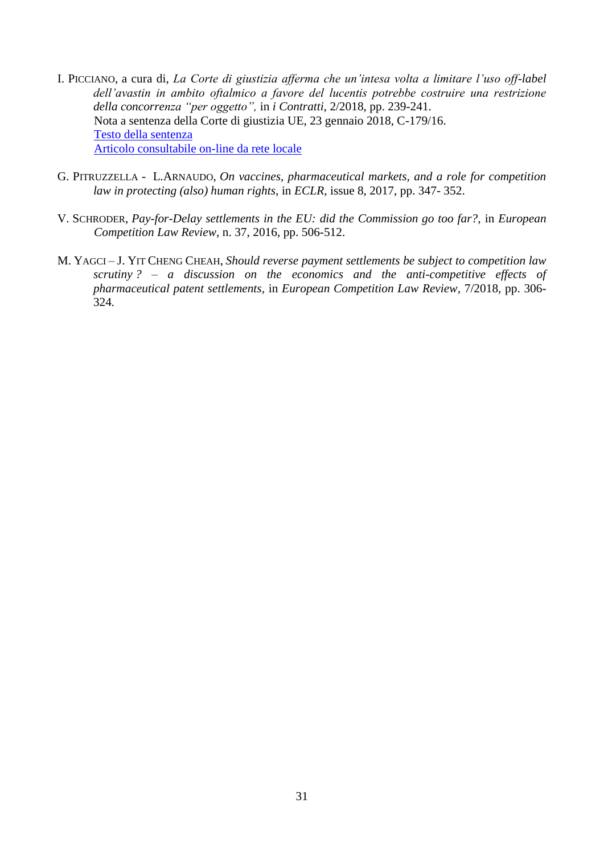- I. PICCIANO, a cura di, *La Corte di giustizia afferma che un'intesa volta a limitare l'uso off-label dell'avastin in ambito oftalmico a favore del lucentis potrebbe costruire una restrizione della concorrenza "per oggetto",* in *i Contratti,* 2/2018, pp. 239-241. Nota a sentenza della Corte di giustizia UE, 23 gennaio 2018, C-179/16. [Testo della sentenza](http://eur-lex.europa.eu/legal-content/IT/TXT/PDF/?uri=CELEX:62016CJ0179&rid=2) [Articolo consultabile on-line da rete locale](http://sfx-39uvr.hosted.exlibrisgroup.com/sfx_univr?url_ver=Z39.88-2004&url_ctx_fmt=info:ofi/fmt:kev:mtx:ctx&ctx_enc=info:ofi/enc:UTF-8&ctx_ver=Z39.88-2004&rfr_id=info:sid/sfxit.com:azlist&sfx.ignore_date_threshold=1&rft.object_id=1000000000018701&rft.object_portfolio_id=)
- G. PITRUZZELLA L.ARNAUDO, *On vaccines, pharmaceutical markets, and a role for competition law in protecting (also) human rights,* in *ECLR,* issue 8, 2017, pp. 347- 352.
- V. SCHRODER, *Pay-for-Delay settlements in the EU: did the Commission go too far?,* in *European Competition Law Review,* n. 37, 2016, pp. 506-512.
- M. YAGCI J. YIT CHENG CHEAH, *Should reverse payment settlements be subject to competition law scrutiny ? – a discussion on the economics and the anti-competitive effects of pharmaceutical patent settlements,* in *European Competition Law Review,* 7/2018*,* pp. 306- 324*.*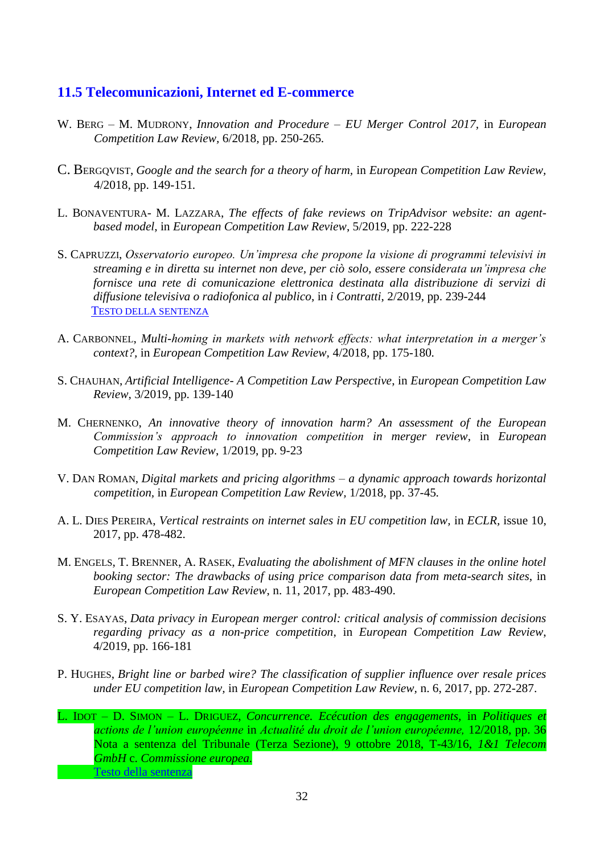## <span id="page-31-0"></span>**11.5 Telecomunicazioni, Internet ed E-commerce**

- W. BERG M. MUDRONY, *Innovation and Procedure – EU Merger Control 2017,* in *European Competition Law Review,* 6/2018*,* pp. 250-265*.*
- C. BERGQVIST, *Google and the search for a theory of harm,* in *European Competition Law Review,*  4/2018*,* pp. 149-151*.*
- L. BONAVENTURA- M. LAZZARA, *The effects of fake reviews on TripAdvisor website: an agentbased model*, in *European Competition Law Review*, 5/2019, pp. 222-228
- S. CAPRUZZI, *Osservatorio europeo. Un'impresa che propone la visione di programmi televisivi in streaming e in diretta su internet non deve, per ciò solo, essere considerata un'impresa che fornisce una rete di comunicazione elettronica destinata alla distribuzione di servizi di diffusione televisiva o radiofonica al publico*, in *i Contratti*, 2/2019, pp. 239-244 T[ESTO DELLA SENTENZA](https://eur-lex.europa.eu/legal-content/IT/TXT/PDF/?uri=CELEX:62017CJ0298&qid=1561460056162&from=IT)
- A. CARBONNEL, *Multi-homing in markets with network effects: what interpretation in a merger's context?,* in *European Competition Law Review,* 4/2018*,* pp. 175-180*.*
- S. CHAUHAN, *Artificial Intelligence- A Competition Law Perspective*, in *European Competition Law Review*, 3/2019, pp. 139-140
- M. CHERNENKO, *An innovative theory of innovation harm? An assessment of the European Commission's approach to innovation competition in merger review*, in *European Competition Law Review*, 1/2019, pp. 9-23
- V. DAN ROMAN, *Digital markets and pricing algorithms – a dynamic approach towards horizontal competition,* in *European Competition Law Review,* 1/2018*,* pp. 37-45*.*
- A. L. DIES PEREIRA, *Vertical restraints on internet sales in EU competition law,* in *ECLR,* issue 10, 2017, pp. 478-482.
- M. ENGELS, T. BRENNER, A. RASEK, *Evaluating the abolishment of MFN clauses in the online hotel booking sector: The drawbacks of using price comparison data from meta-search sites*, in *European Competition Law Review*, n. 11, 2017, pp. 483-490.
- S. Y. ESAYAS, *Data privacy in European merger control: critical analysis of commission decisions regarding privacy as a non-price competition*, in *European Competition Law Review*, 4/2019, pp. 166-181
- P. HUGHES, *Bright line or barbed wire? The classification of supplier influence over resale prices under EU competition law,* in *European Competition Law Review,* n. 6, 2017, pp. 272-287.

L. IDOT – D. SIMON – L. DRIGUEZ, *Concurrence. Ecécution des engagements,* in *Politiques et actions de l'union européenne* in *Actualité du droit de l'union européenne,* 12/2018, pp. 36 Nota a sentenza del Tribunale (Terza Sezione), 9 ottobre 2018, T-43/16, *1&1 Telecom GmbH* c. *Commissione europea.*  [Testo della sentenza](https://eur-lex.europa.eu/legal-content/IT/TXT/PDF/?uri=CELEX:62016TJ0043&qid=1551267377212&from=IT)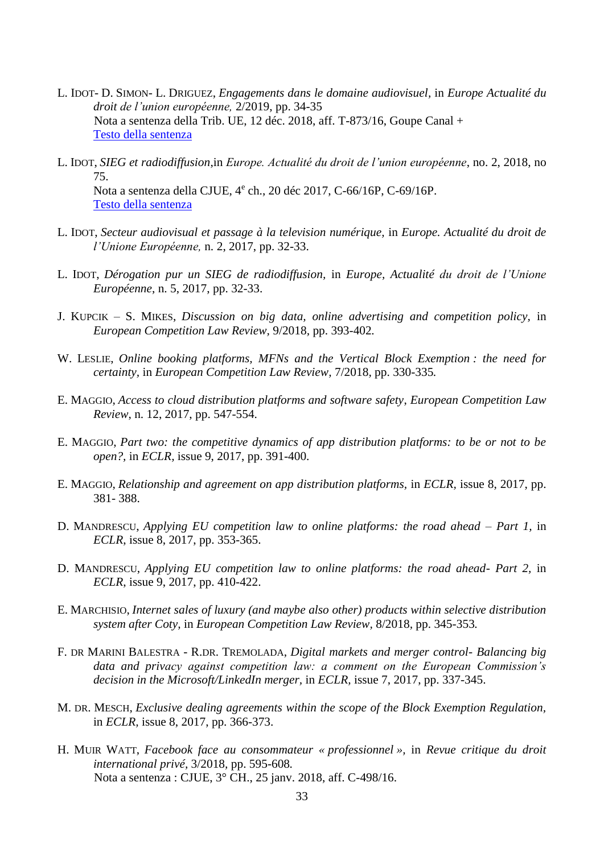- L. IDOT- D. SIMON- L. DRIGUEZ, *Engagements dans le domaine audiovisuel,* in *Europe Actualité du droit de l'union européenne,* 2/2019, pp. 34-35 Nota a sentenza della Trib. UE, 12 déc. 2018, aff. T-873/16, Goupe Canal + [Testo della sentenza](https://eur-lex.europa.eu/legal-content/AUTO/?uri=CELEX:62016TJ0873&qid=1562142577889&rid=2)
- L. IDOT, *SIEG et radiodiffusion*,in *Europe. Actualité du droit de l'union européenne*, no. 2, 2018, no 75. Nota a sentenza della CJUE, 4<sup>e</sup> ch., 20 déc 2017, C-66/16P, C-69/16P. [Testo della sentenza](http://eur-lex.europa.eu/legal-content/IT/TXT/PDF/?uri=CELEX:62016CJ0066&rid=3)
- L. IDOT, *Secteur audiovisual et passage à la television numérique,* in *Europe. Actualité du droit de l'Unione Européenne,* n. 2, 2017, pp. 32-33.
- L. IDOT, *Dérogation pur un SIEG de radiodiffusion,* in *Europe, Actualité du droit de l'Unione Européenne*, n. 5, 2017, pp. 32-33.
- J. KUPCIK S. MIKES, *Discussion on big data, online advertising and competition policy,* in *European Competition Law Review,* 9/2018*,* pp. 393-402*.*
- W. LESLIE, *Online booking platforms, MFNs and the Vertical Block Exemption : the need for certainty,* in *European Competition Law Review,* 7/2018*,* pp. 330-335*.*
- E. MAGGIO, *Access to cloud distribution platforms and software safety*, *European Competition Law Review*, n. 12, 2017, pp. 547-554.
- E. MAGGIO, *Part two: the competitive dynamics of app distribution platforms: to be or not to be open?,* in *ECLR,* issue 9, 2017, pp. 391-400.
- E. MAGGIO, *Relationship and agreement on app distribution platforms,* in *ECLR,* issue 8, 2017, pp. 381- 388.
- D. MANDRESCU, *Applying EU competition law to online platforms: the road ahead – Part 1,* in *ECLR*, issue 8, 2017, pp. 353-365.
- D. MANDRESCU, *Applying EU competition law to online platforms: the road ahead- Part 2,* in *ECLR*, issue 9, 2017, pp. 410-422.
- E. MARCHISIO, *Internet sales of luxury (and maybe also other) products within selective distribution system after Coty,* in *European Competition Law Review,* 8/2018*,* pp. 345-353*.*
- F. DR MARINI BALESTRA R.DR. TREMOLADA, *Digital markets and merger control- Balancing big data and privacy against competition law: a comment on the European Commission's decision in the Microsoft/LinkedIn merger,* in *ECLR,* issue 7, 2017, pp. 337-345.
- M. DR. MESCH, *Exclusive dealing agreements within the scope of the Block Exemption Regulation,* in *ECLR,* issue 8, 2017, pp. 366-373.
- H. MUIR WATT, *Facebook face au consommateur « professionnel »,* in *Revue critique du droit international privé,* 3/2018*,* pp. 595-608*.* Nota a sentenza : CJUE, 3° CH., 25 janv. 2018, aff. C-498/16.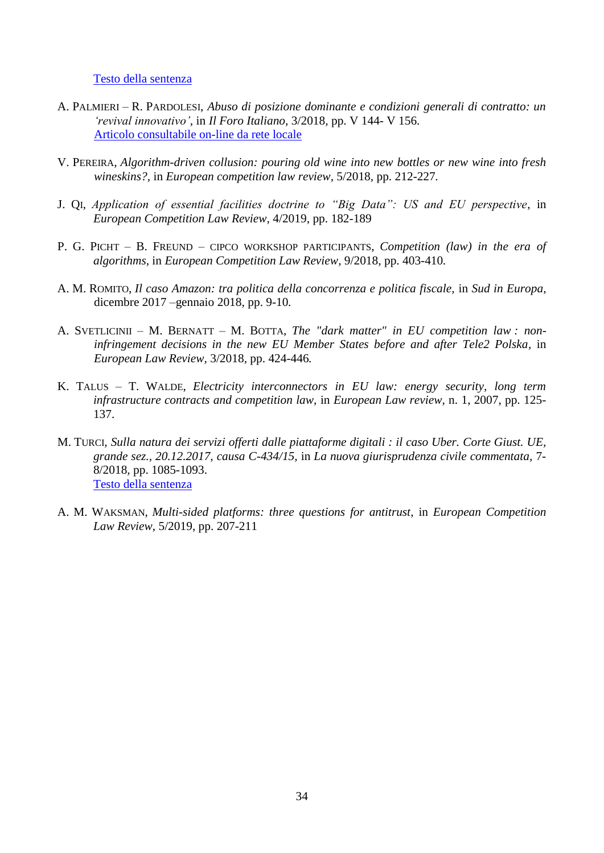[Testo della sentenza](https://eur-lex.europa.eu/legal-content/IT/TXT/HTML/?uri=CELEX:62016CJ0498&qid=1544778744905&from=IT)

- A. PALMIERI R. PARDOLESI, *Abuso di posizione dominante e condizioni generali di contratto: un 'revival innovativo',* in *Il Foro Italiano,* 3/2018*,* pp. V 144- V 156. [Articolo consultabile on-line da rete locale](http://sfx-39uvr.hosted.exlibrisgroup.com/sfx_univr?url_ver=Z39.88-2004&url_ctx_fmt=info:ofi/fmt:kev:mtx:ctx&ctx_enc=info:ofi/enc:UTF-8&ctx_ver=Z39.88-2004&rfr_id=info:sid/sfxit.com:azlist&sfx.ignore_date_threshold=1&rft.object_id=110978976776317&rft.object_portfolio_id=)
- V. PEREIRA, *Algorithm-driven collusion: pouring old wine into new bottles or new wine into fresh wineskins?,* in *European competition law review,* 5/2018*,* pp. 212-227*.*
- J. QI, *Application of essential facilities doctrine to "Big Data": US and EU perspective*, in *European Competition Law Review*, 4/2019, pp. 182-189
- P. G. PICHT B. FREUND CIPCO WORKSHOP PARTICIPANTS, *Competition (law) in the era of algorithms,* in *European Competition Law Review,* 9/2018*,* pp. 403-410*.*
- A. M. ROMITO, *Il caso Amazon: tra politica della concorrenza e politica fiscale,* in *Sud in Europa,*  dicembre 2017 –gennaio 2018*,* pp. 9-10*.*
- A. SVETLICINII M. BERNATT M. BOTTA, *The "dark matter" in EU competition law : noninfringement decisions in the new EU Member States before and after Tele2 Polska,* in *European Law Review,* 3/2018*,* pp. 424-446*.*
- K. TALUS T. WALDE, *Electricity interconnectors in EU law: energy security, long term infrastructure contracts and competition law,* in *European Law review,* n. 1, 2007, pp. 125- 137.
- M. TURCI*, Sulla natura dei servizi offerti dalle piattaforme digitali : il caso Uber. Corte Giust. UE, grande sez., 20.12.2017, causa C-434/15,* in *La nuova giurisprudenza civile commentata,* 7- 8/2018*,* pp. 1085-1093. [Testo della sentenza](https://eur-lex.europa.eu/legal-content/IT/TXT/HTML/?uri=CELEX:62015CJ0434&qid=1540464182066&from=IT)
- A. M. WAKSMAN, *Multi-sided platforms: three questions for antitrust*, in *European Competition Law Review*, 5/2019, pp. 207-211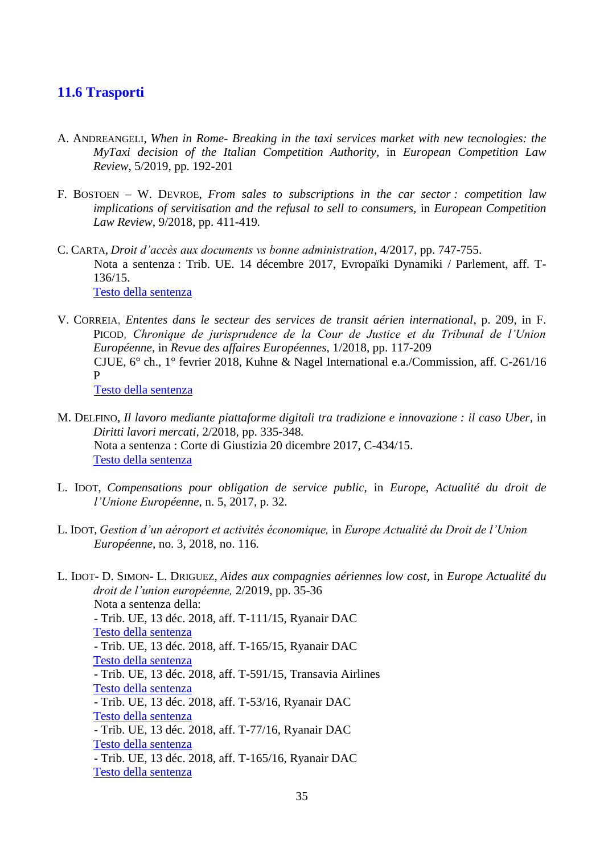## <span id="page-34-0"></span>**11.6 Trasporti**

- A. ANDREANGELI, *When in Rome- Breaking in the taxi services market with new tecnologies: the MyTaxi decision of the Italian Competition Authority*, in *European Competition Law Review*, 5/2019, pp. 192-201
- F. BOSTOEN W. DEVROE, *From sales to subscriptions in the car sector : competition law implications of servitisation and the refusal to sell to consumers,* in *European Competition Law Review,* 9/2018*,* pp. 411-419*.*
- C. CARTA, *Droit d'accès aux documents vs bonne administration,* 4/2017*,* pp. 747-755. Nota a sentenza : Trib. UE. 14 décembre 2017, Evropaïki Dynamiki / Parlement, aff. T-136/15. [Testo della sentenza](https://eur-lex.europa.eu/legal-content/IT/TXT/HTML/?uri=CELEX:62015CJ0434&qid=1538735391562&from=IT)
- V. CORREIA, *Ententes dans le secteur des services de transit aérien international*, p. 209, in F. PICOD, *Chronique de jurisprudence de la Cour de Justice et du Tribunal de l'Union Européenne*, in *Revue des affaires Européennes*, 1/2018, pp. 117-209 CJUE, 6° ch., 1° fevrier 2018, Kuhne & Nagel International e.a./Commission, aff. C-261/16 P

[Testo della sentenza](https://eur-lex.europa.eu/legal-content/IT/TXT/PDF/?uri=CELEX:62016CA0261&qid=1554462945891&from=IT)

- M. DELFINO, *Il lavoro mediante piattaforme digitali tra tradizione e innovazione : il caso Uber,* in *Diritti lavori mercati,* 2/2018*,* pp. 335-348*.* Nota a sentenza : Corte di Giustizia 20 dicembre 2017, C-434/15. [Testo della sentenza](https://eur-lex.europa.eu/legal-content/IT/TXT/HTML/?uri=CELEX:62015CJ0434&qid=1544776828628&from=IT)
- L. IDOT, *Compensations pour obligation de service public,* in *Europe, Actualité du droit de l'Unione Européenne*, n. 5, 2017, p. 32.
- L. IDOT, *Gestion d'un aéroport et activités économique,* in *Europe Actualité du Droit de l'Union Européenne,* no. 3, 2018*,* no. 116*.*
- L. IDOT- D. SIMON- L. DRIGUEZ, *Aides aux compagnies aériennes low cost,* in *Europe Actualité du droit de l'union européenne,* 2/2019, pp. 35-36 Nota a sentenza della: - Trib. UE, 13 déc. 2018, aff. T-111/15, Ryanair DAC [Testo della sentenza](https://eur-lex.europa.eu/legal-content/AUTO/?uri=CELEX:62015TJ0111&qid=1562143110184&rid=2) - Trib. UE, 13 déc. 2018, aff. T-165/15, Ryanair DAC [Testo della sentenza](https://eur-lex.europa.eu/legal-content/AUTO/?uri=CELEX:62015TJ0165&qid=1562143171441&rid=2) - Trib. UE, 13 déc. 2018, aff. T-591/15, Transavia Airlines [Testo della sentenza](https://eur-lex.europa.eu/legal-content/AUTO/?uri=CELEX:62015TA0591&qid=1562143271785&rid=1) - Trib. UE, 13 déc. 2018, aff. T-53/16, Ryanair DAC [Testo della sentenza](https://eur-lex.europa.eu/legal-content/AUTO/?uri=CELEX:62016TJ0053&qid=1562143321188&rid=2) - Trib. UE, 13 déc. 2018, aff. T-77/16, Ryanair DAC [Testo della sentenza](https://eur-lex.europa.eu/legal-content/AUTO/?uri=CELEX:62016TJ0077&qid=1562143385242&rid=2) - Trib. UE, 13 déc. 2018, aff. T-165/16, Ryanair DAC [Testo della sentenza](https://eur-lex.europa.eu/legal-content/AUTO/?uri=CELEX:62016TJ0165&qid=1562143434929&rid=2)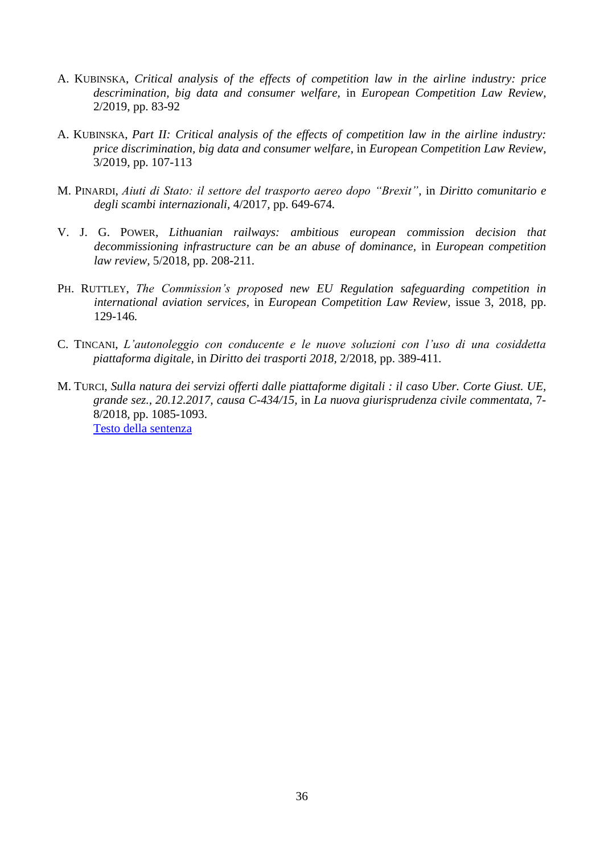- A. KUBINSKA, *Critical analysis of the effects of competition law in the airline industry: price descrimination, big data and consumer welfare,* in *European Competition Law Review*, 2/2019, pp. 83-92
- A. KUBINSKA, *Part II: Critical analysis of the effects of competition law in the airline industry: price discrimination, big data and consumer welfare*, in *European Competition Law Review*, 3/2019, pp. 107-113
- M. PINARDI, *Aiuti di Stato: il settore del trasporto aereo dopo "Brexit",* in *Diritto comunitario e degli scambi internazionali,* 4/2017*,* pp. 649-674*.*
- V. J. G. POWER, *Lithuanian railways: ambitious european commission decision that decommissioning infrastructure can be an abuse of dominance,* in *European competition law review,* 5/2018*,* pp. 208-211*.*
- PH. RUTTLEY, *The Commission's proposed new EU Regulation safeguarding competition in international aviation services,* in *European Competition Law Review,* issue 3, 2018*,* pp. 129-146*.*
- C. TINCANI, *L'autonoleggio con conducente e le nuove soluzioni con l'uso di una cosiddetta piattaforma digitale,* in *Diritto dei trasporti 2018,* 2/2018*,* pp. 389-411*.*
- M. TURCI*, Sulla natura dei servizi offerti dalle piattaforme digitali : il caso Uber. Corte Giust. UE, grande sez., 20.12.2017, causa C-434/15,* in *La nuova giurisprudenza civile commentata,* 7- 8/2018*,* pp. 1085-1093. [Testo della sentenza](https://eur-lex.europa.eu/legal-content/IT/TXT/HTML/?uri=CELEX:62015CJ0434&qid=1540464182066&from=IT)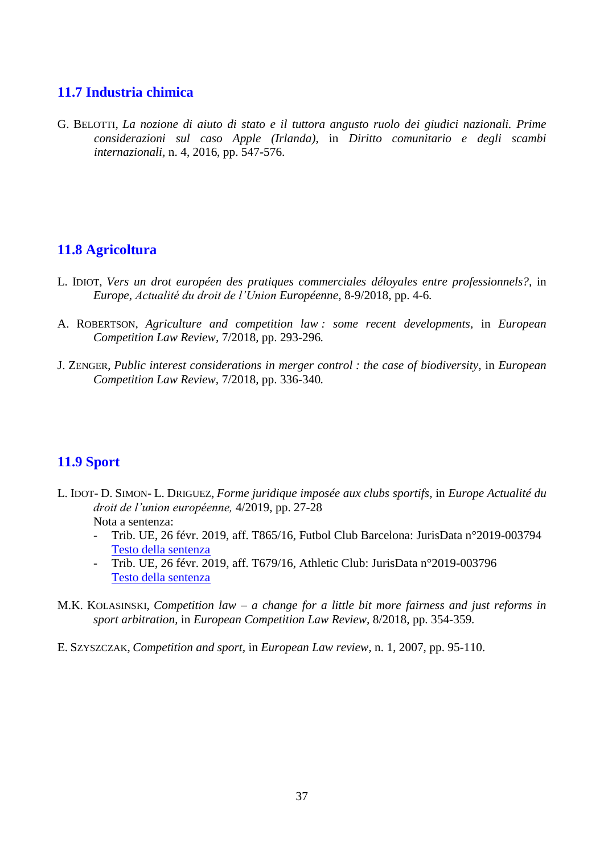## <span id="page-36-0"></span>**11.7 Industria chimica**

G. BELOTTI, *La nozione di aiuto di stato e il tuttora angusto ruolo dei giudici nazionali. Prime considerazioni sul caso Apple (Irlanda)*, in *Diritto comunitario e degli scambi internazionali,* n. 4, 2016, pp. 547-576.

## <span id="page-36-1"></span>**11.8 Agricoltura**

- L. IDIOT, *Vers un drot européen des pratiques commerciales déloyales entre professionnels?,* in *Europe, Actualité du droit de l'Union Européenne,* 8-9/2018*,* pp. 4-6*.*
- A. ROBERTSON, *Agriculture and competition law : some recent developments,* in *European Competition Law Review,* 7/2018*,* pp. 293-296*.*
- J. ZENGER, *Public interest considerations in merger control : the case of biodiversity,* in *European Competition Law Review,* 7/2018*,* pp. 336-340*.*

## <span id="page-36-2"></span>**11.9 Sport**

- L. IDOT- D. SIMON- L. DRIGUEZ, *Forme juridique imposée aux clubs sportifs,* in *Europe Actualité du droit de l'union européenne,* 4/2019, pp. 27-28 Nota a sentenza:
	- Trib. UE, 26 févr. 2019, aff. T865/16, Futbol Club Barcelona: JurisData n°2019-003794 [Testo della sentenza](https://eur-lex.europa.eu/legal-content/AUTO/?uri=CELEX:62016TA0865&qid=1562138459805&rid=1)
	- Trib. UE, 26 févr. 2019, aff. T679/16, Athletic Club: JurisData n°2019-003796 [Testo della sentenza](https://eur-lex.europa.eu/legal-content/AUTO/?uri=CELEX:62016TA0679&qid=1562138575180&rid=1)
- M.K. KOLASINSKI, *Competition law – a change for a little bit more fairness and just reforms in sport arbitration,* in *European Competition Law Review,* 8/2018*,* pp. 354-359*.*
- E. SZYSZCZAK, *Competition and sport,* in *European Law review,* n. 1, 2007, pp. 95-110.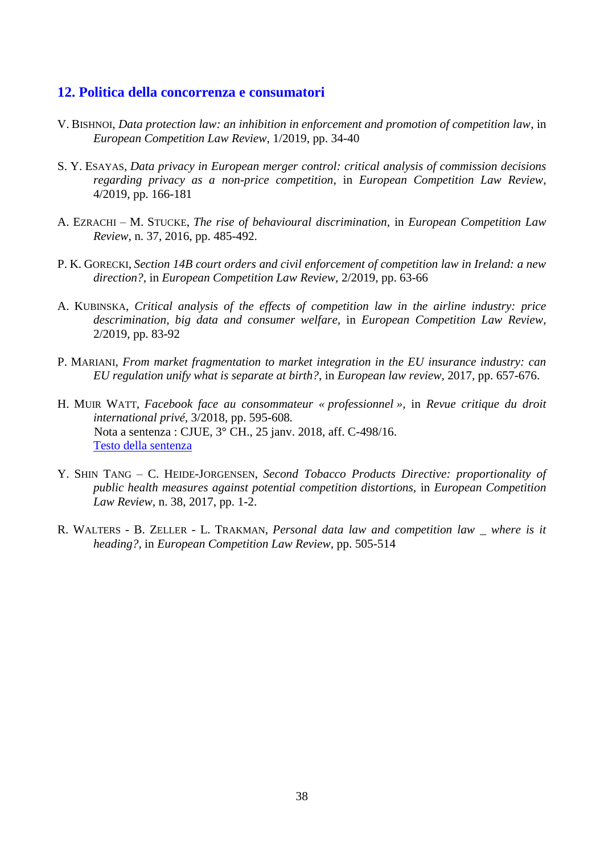#### <span id="page-37-0"></span>**12. Politica della concorrenza e consumatori**

- V. BISHNOI, *Data protection law: an inhibition in enforcement and promotion of competition law*, in *European Competition Law Review*, 1/2019, pp. 34-40
- S. Y. ESAYAS, *Data privacy in European merger control: critical analysis of commission decisions regarding privacy as a non-price competition*, in *European Competition Law Review*, 4/2019, pp. 166-181
- A. EZRACHI M. STUCKE, *The rise of behavioural discrimination,* in *European Competition Law Review,* n. 37, 2016, pp. 485-492.
- P. K. GORECKI, *Section 14B court orders and civil enforcement of competition law in Ireland: a new direction?,* in *European Competition Law Review,* 2/2019, pp. 63-66
- A. KUBINSKA, *Critical analysis of the effects of competition law in the airline industry: price descrimination, big data and consumer welfare,* in *European Competition Law Review*, 2/2019, pp. 83-92
- P. MARIANI, *From market fragmentation to market integration in the EU insurance industry: can EU regulation unify what is separate at birth?*, in *European law review,* 2017, pp. 657-676.
- H. MUIR WATT, *Facebook face au consommateur « professionnel »,* in *Revue critique du droit international privé,* 3/2018*,* pp. 595-608*.* Nota a sentenza : CJUE, 3° CH., 25 janv. 2018, aff. C-498/16. [Testo della sentenza](https://eur-lex.europa.eu/legal-content/IT/TXT/HTML/?uri=CELEX:62016CJ0498&qid=1544778744905&from=IT)
- Y. SHIN TANG C. HEIDE-JORGENSEN, *Second Tobacco Products Directive: proportionality of public health measures against potential competition distortions,* in *European Competition Law Review,* n. 38, 2017, pp. 1-2.
- R. WALTERS B. ZELLER L. TRAKMAN, *Personal data law and competition law \_ where is it heading?,* in *European Competition Law Review,* pp. 505-514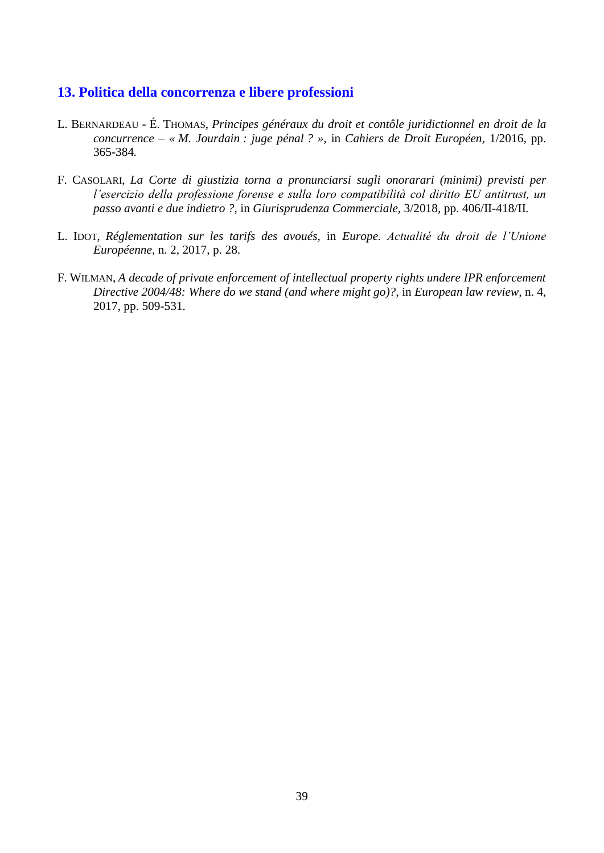## <span id="page-38-0"></span>**13. Politica della concorrenza e libere professioni**

- L. BERNARDEAU É. THOMAS, *Principes généraux du droit et contôle juridictionnel en droit de la concurrence – « M. Jourdain : juge pénal ? »,* in *Cahiers de Droit Européen,* 1/2016*,* pp. 365-384*.*
- F. CASOLARI, *La Corte di giustizia torna a pronunciarsi sugli onorarari (minimi) previsti per l'esercizio della professione forense e sulla loro compatibilità col diritto EU antitrust, un passo avanti e due indietro ?,* in *Giurisprudenza Commerciale,* 3/2018*,* pp. 406/II-418/II*.*
- L. IDOT, *Réglementation sur les tarifs des avoués,* in *Europe. Actualité du droit de l'Unione Européenne,* n. 2, 2017, p. 28.
- F. WILMAN, *A decade of private enforcement of intellectual property rights undere IPR enforcement Directive 2004/48: Where do we stand (and where might go)?,* in *European law review,* n. 4, 2017, pp. 509-531.